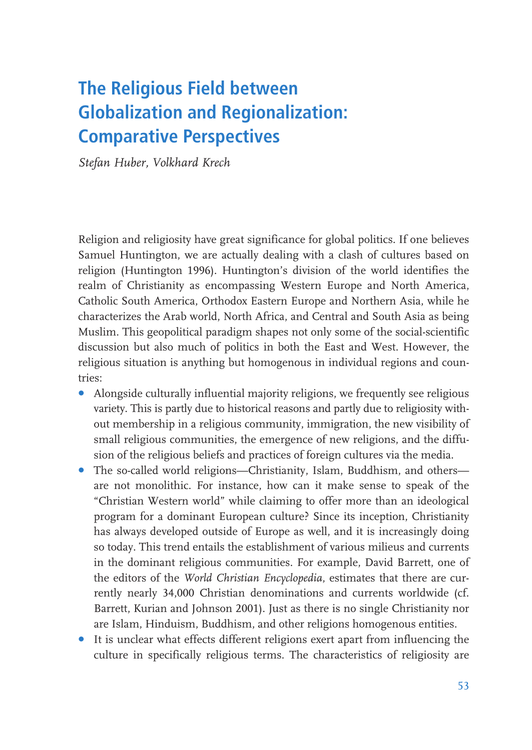# The Religious Field between **Globalization and Regionalization: Comparative Perspectives**

Stefan Huber, Volkhard Krech

Religion and religiosity have great significance for global politics. If one believes Samuel Huntington, we are actually dealing with a clash of cultures based on religion (Huntington 1996). Huntington's division of the world identifies the realm of Christianity as encompassing Western Europe and North America, Catholic South America, Orthodox Eastern Europe and Northern Asia, while he characterizes the Arab world, North Africa, and Central and South Asia as being Muslim. This geopolitical paradigm shapes not only some of the social-scientific discussion but also much of politics in both the East and West. However, the religious situation is anything but homogenous in individual regions and countries<sup>.</sup>

- Alongside culturally influential majority religions, we frequently see religious variety. This is partly due to historical reasons and partly due to religiosity without membership in a religious community, immigration, the new visibility of small religious communities, the emergence of new religions, and the diffusion of the religious beliefs and practices of foreign cultures via the media.
- The so-called world religions-Christianity, Islam, Buddhism, and othersare not monolithic. For instance, how can it make sense to speak of the "Christian Western world" while claiming to offer more than an ideological program for a dominant European culture? Since its inception, Christianity has always developed outside of Europe as well, and it is increasingly doing so today. This trend entails the establishment of various milieus and currents in the dominant religious communities. For example, David Barrett, one of the editors of the World Christian Encyclopedia, estimates that there are currently nearly 34,000 Christian denominations and currents worldwide (cf. Barrett, Kurian and Johnson 2001). Just as there is no single Christianity nor are Islam, Hinduism, Buddhism, and other religions homogenous entities.
- It is unclear what effects different religions exert apart from influencing the culture in specifically religious terms. The characteristics of religiosity are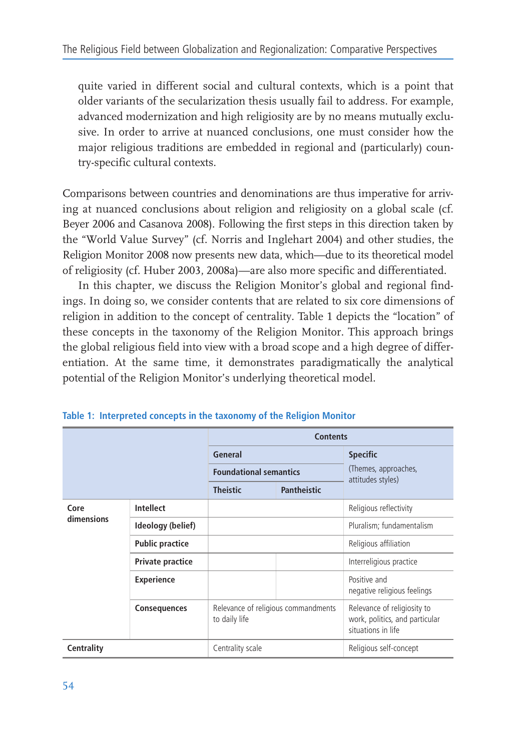quite varied in different social and cultural contexts, which is a point that older variants of the secularization thesis usually fail to address. For example, advanced modernization and high religiosity are by no means mutually exclusive. In order to arrive at nuanced conclusions, one must consider how the major religious traditions are embedded in regional and (particularly) country-specific cultural contexts.

Comparisons between countries and denominations are thus imperative for arriving at nuanced conclusions about religion and religiosity on a global scale (cf. Bever 2006 and Casanova 2008). Following the first steps in this direction taken by the "World Value Survey" (cf. Norris and Inglehart 2004) and other studies, the Religion Monitor 2008 now presents new data, which—due to its theoretical model of religiosity (cf. Huber 2003, 2008a)—are also more specific and differentiated.

In this chapter, we discuss the Religion Monitor's global and regional findings. In doing so, we consider contents that are related to six core dimensions of religion in addition to the concept of centrality. Table 1 depicts the "location" of these concepts in the taxonomy of the Religion Monitor. This approach brings the global religious field into view with a broad scope and a high degree of differentiation. At the same time, it demonstrates paradigmatically the analytical potential of the Religion Monitor's underlying theoretical model.

|                    |                        |                                                      | <b>Contents</b> |                                                                                     |
|--------------------|------------------------|------------------------------------------------------|-----------------|-------------------------------------------------------------------------------------|
|                    |                        | General                                              |                 | <b>Specific</b>                                                                     |
|                    |                        | <b>Foundational semantics</b>                        |                 | (Themes, approaches,<br>attitudes styles)                                           |
|                    |                        | <b>Theistic</b>                                      | Pantheistic     |                                                                                     |
| Core<br>dimensions | Intellect              |                                                      |                 | Religious reflectivity                                                              |
|                    | Ideology (belief)      |                                                      |                 | Pluralism; fundamentalism                                                           |
|                    | <b>Public practice</b> |                                                      |                 | Religious affiliation                                                               |
|                    | Private practice       |                                                      |                 | Interreligious practice                                                             |
|                    | <b>Experience</b>      |                                                      |                 | Positive and<br>negative religious feelings                                         |
|                    | <b>Consequences</b>    | Relevance of religious commandments<br>to daily life |                 | Relevance of religiosity to<br>work, politics, and particular<br>situations in life |
| <b>Centrality</b>  |                        | Centrality scale                                     |                 | Religious self-concept                                                              |

Table 1: Interpreted concepts in the taxonomy of the Religion Monitor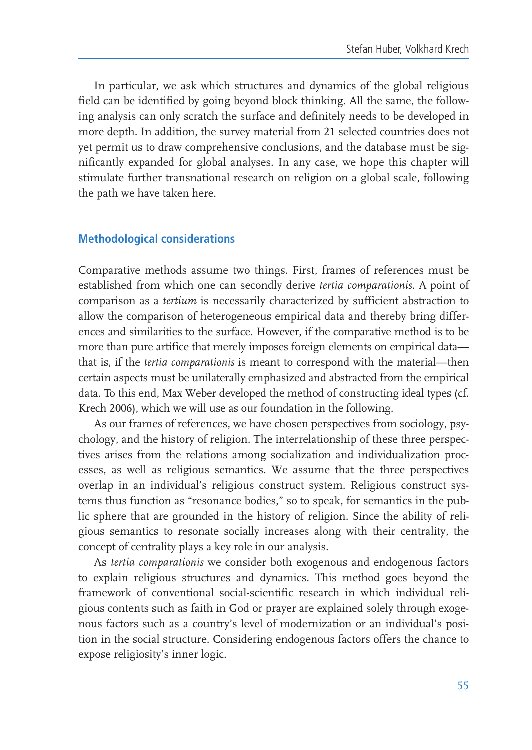In particular, we ask which structures and dynamics of the global religious field can be identified by going beyond block thinking. All the same, the following analysis can only scratch the surface and definitely needs to be developed in more depth. In addition, the survey material from 21 selected countries does not yet permit us to draw comprehensive conclusions, and the database must be significantly expanded for global analyses. In any case, we hope this chapter will stimulate further transnational research on religion on a global scale, following the path we have taken here.

#### **Methodological considerations**

Comparative methods assume two things. First, frames of references must be established from which one can secondly derive tertia comparationis. A point of comparison as a tertium is necessarily characterized by sufficient abstraction to allow the comparison of heterogeneous empirical data and thereby bring differences and similarities to the surface. However, if the comparative method is to be more than pure artifice that merely imposes foreign elements on empirical datathat is, if the *tertia comparationis* is meant to correspond with the material—then certain aspects must be unilaterally emphasized and abstracted from the empirical data. To this end, Max Weber developed the method of constructing ideal types (cf. Krech 2006), which we will use as our foundation in the following.

As our frames of references, we have chosen perspectives from sociology, psychology, and the history of religion. The interrelationship of these three perspectives arises from the relations among socialization and individualization processes, as well as religious semantics. We assume that the three perspectives overlap in an individual's religious construct system. Religious construct systems thus function as "resonance bodies," so to speak, for semantics in the public sphere that are grounded in the history of religion. Since the ability of religious semantics to resonate socially increases along with their centrality, the concept of centrality plays a key role in our analysis.

As tertia comparationis we consider both exogenous and endogenous factors to explain religious structures and dynamics. This method goes beyond the framework of conventional social-scientific research in which individual religious contents such as faith in God or prayer are explained solely through exogenous factors such as a country's level of modernization or an individual's position in the social structure. Considering endogenous factors offers the chance to expose religiosity's inner logic.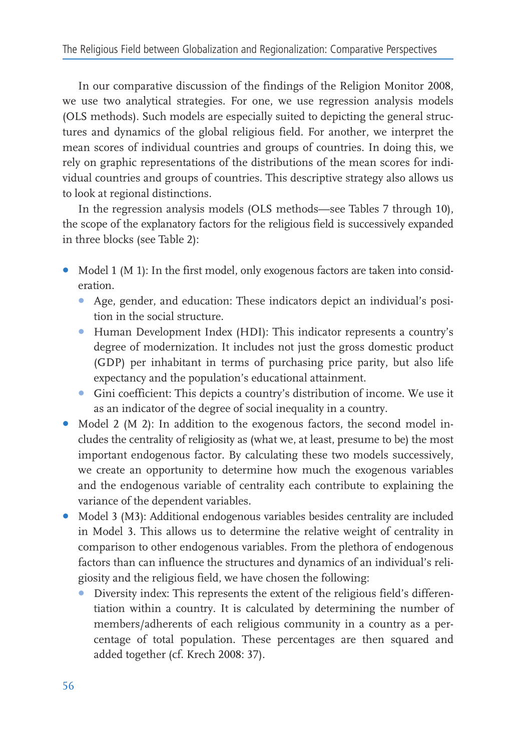In our comparative discussion of the findings of the Religion Monitor 2008, we use two analytical strategies. For one, we use regression analysis models (OLS methods). Such models are especially suited to depicting the general structures and dynamics of the global religious field. For another, we interpret the mean scores of individual countries and groups of countries. In doing this, we rely on graphic representations of the distributions of the mean scores for individual countries and groups of countries. This descriptive strategy also allows us to look at regional distinctions.

In the regression analysis models (OLS methods—see Tables 7 through 10), the scope of the explanatory factors for the religious field is successively expanded in three blocks (see Table 2):

- Model 1 (M 1): In the first model, only exogenous factors are taken into consideration
	- Age, gender, and education: These indicators depict an individual's position in the social structure.
	- Human Development Index (HDI): This indicator represents a country's degree of modernization. It includes not just the gross domestic product (GDP) per inhabitant in terms of purchasing price parity, but also life expectancy and the population's educational attainment.
	- Gini coefficient: This depicts a country's distribution of income. We use it as an indicator of the degree of social inequality in a country.
- Model 2 (M 2): In addition to the exogenous factors, the second model includes the centrality of religiosity as (what we, at least, presume to be) the most important endogenous factor. By calculating these two models successively, we create an opportunity to determine how much the exogenous variables and the endogenous variable of centrality each contribute to explaining the variance of the dependent variables.
- Model 3 (M3): Additional endogenous variables besides centrality are included in Model 3. This allows us to determine the relative weight of centrality in comparison to other endogenous variables. From the plethora of endogenous factors than can influence the structures and dynamics of an individual's religiosity and the religious field, we have chosen the following:
	- Diversity index: This represents the extent of the religious field's differentiation within a country. It is calculated by determining the number of members/adherents of each religious community in a country as a percentage of total population. These percentages are then squared and added together (cf. Krech 2008: 37).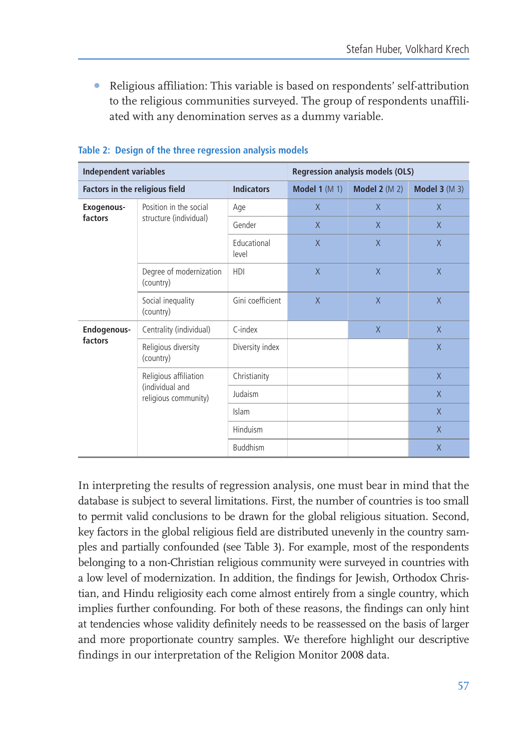• Religious affiliation: This variable is based on respondents' self-attribution to the religious communities surveyed. The group of respondents unaffiliated with any denomination serves as a dummy variable.

| <b>Independent variables</b>   |                                         |                      |                 | <b>Regression analysis models (OLS)</b> |               |
|--------------------------------|-----------------------------------------|----------------------|-----------------|-----------------------------------------|---------------|
| Factors in the religious field |                                         | <b>Indicators</b>    | Model 1 $(M 1)$ | Model $2(M2)$                           | Model $3(M3)$ |
| Exogenous-                     | Position in the social                  | Age                  | $\chi$          | X                                       | $\mathsf{X}$  |
| factors                        | structure (individual)                  | Gender               | $\chi$          | $\chi$                                  | $\mathsf{X}$  |
|                                |                                         | Educational<br>level | $\chi$          | $\chi$                                  | $\chi$        |
|                                | Degree of modernization<br>(country)    | HDI                  | $\chi$          | $\chi$                                  | $\chi$        |
|                                | Social inequality<br>(country)          | Gini coefficient     | $\chi$          | X                                       | $\mathsf{X}$  |
| Endogenous-                    | Centrality (individual)                 | C-index              |                 | $\chi$                                  | $\chi$        |
| factors                        | Religious diversity<br>(country)        | Diversity index      |                 |                                         | X             |
|                                | Religious affiliation                   | Christianity         |                 |                                         | X             |
|                                | (individual and<br>religious community) | Judaism              |                 |                                         | $\chi$        |
|                                |                                         | Islam                |                 |                                         | X             |
|                                |                                         | Hinduism             |                 |                                         | $\chi$        |
|                                |                                         | <b>Buddhism</b>      |                 |                                         | $\chi$        |

#### Table 2: Design of the three regression analysis models

In interpreting the results of regression analysis, one must bear in mind that the database is subject to several limitations. First, the number of countries is too small to permit valid conclusions to be drawn for the global religious situation. Second, key factors in the global religious field are distributed unevenly in the country samples and partially confounded (see Table 3). For example, most of the respondents belonging to a non-Christian religious community were surveyed in countries with a low level of modernization. In addition, the findings for Jewish, Orthodox Christian, and Hindu religiosity each come almost entirely from a single country, which implies further confounding. For both of these reasons, the findings can only hint at tendencies whose validity definitely needs to be reassessed on the basis of larger and more proportionate country samples. We therefore highlight our descriptive findings in our interpretation of the Religion Monitor 2008 data.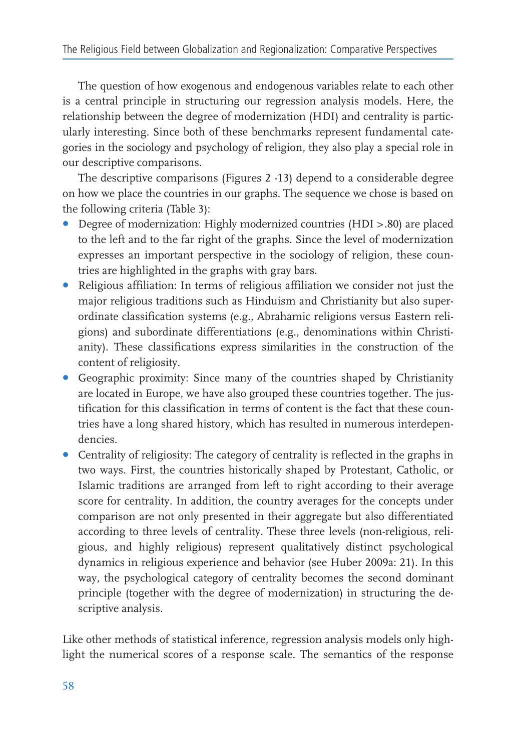The question of how exogenous and endogenous variables relate to each other is a central principle in structuring our regression analysis models. Here, the relationship between the degree of modernization (HDI) and centrality is particularly interesting. Since both of these benchmarks represent fundamental categories in the sociology and psychology of religion, they also play a special role in our descriptive comparisons.

The descriptive comparisons (Figures 2 -13) depend to a considerable degree on how we place the countries in our graphs. The sequence we chose is based on the following criteria (Table 3):

- Degree of modernization: Highly modernized countries (HDI > .80) are placed to the left and to the far right of the graphs. Since the level of modernization expresses an important perspective in the sociology of religion, these countries are highlighted in the graphs with gray bars.
- Religious affiliation: In terms of religious affiliation we consider not just the major religious traditions such as Hinduism and Christianity but also superordinate classification systems (e.g., Abrahamic religions versus Eastern religions) and subordinate differentiations (e.g., denominations within Christianity). These classifications express similarities in the construction of the content of religiosity.
- Geographic proximity: Since many of the countries shaped by Christianity are located in Europe, we have also grouped these countries together. The justification for this classification in terms of content is the fact that these countries have a long shared history, which has resulted in numerous interdependencies.
- Centrality of religiosity: The category of centrality is reflected in the graphs in two ways. First, the countries historically shaped by Protestant, Catholic, or Islamic traditions are arranged from left to right according to their average score for centrality. In addition, the country averages for the concepts under comparison are not only presented in their aggregate but also differentiated according to three levels of centrality. These three levels (non-religious, religious, and highly religious) represent qualitatively distinct psychological dynamics in religious experience and behavior (see Huber 2009a: 21). In this way, the psychological category of centrality becomes the second dominant principle (together with the degree of modernization) in structuring the descriptive analysis.

Like other methods of statistical inference, regression analysis models only highlight the numerical scores of a response scale. The semantics of the response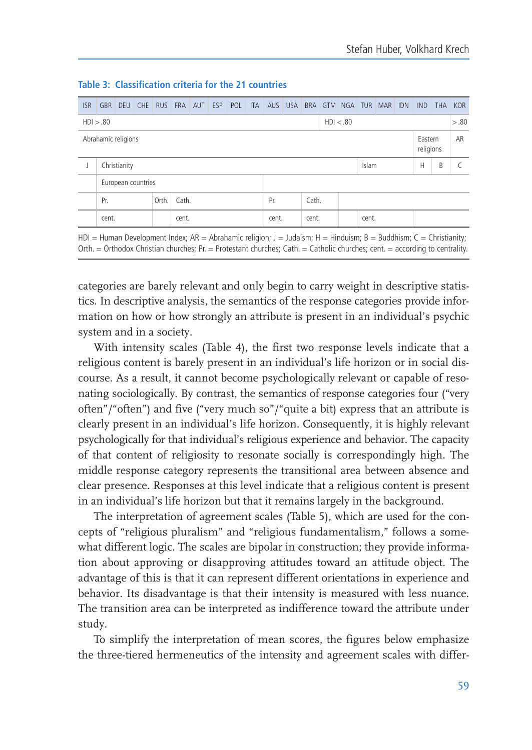| <b>ISR</b>                                  | <b>GBR</b> | DEU                | CHE |       |       | RUS FRA AUT ESP POL |  |  | <b>ITA</b> | AUS USA |    |       |       |       | BRA GTM NGA TUR MAR IDN | <b>IND</b> | <b>THA</b> | <b>KOR</b> |
|---------------------------------------------|------------|--------------------|-----|-------|-------|---------------------|--|--|------------|---------|----|-------|-------|-------|-------------------------|------------|------------|------------|
| HD > .80<br>HD < .80                        |            |                    |     |       |       |                     |  |  |            |         |    |       | > .80 |       |                         |            |            |            |
| Abrahamic religions<br>Eastern<br>religions |            |                    |     |       |       |                     |  |  |            |         | AR |       |       |       |                         |            |            |            |
|                                             |            | Christianity       |     |       |       |                     |  |  |            |         |    |       |       | Islam |                         | Н          | B          |            |
|                                             |            | European countries |     |       |       |                     |  |  |            |         |    |       |       |       |                         |            |            |            |
|                                             | Pr.        |                    |     | Orth. | Cath. |                     |  |  |            | Pr.     |    | Cath. |       |       |                         |            |            |            |
|                                             | cent.      |                    |     |       | cent. |                     |  |  |            | cent.   |    | cent. |       | cent. |                         |            |            |            |

Table 3: Classification criteria for the 21 countries

HDI = Human Development Index; AR = Abrahamic religion; J = Judaism; H = Hinduism; B = Buddhism; C = Christianity; Orth. = Orthodox Christian churches; Pr. = Protestant churches; Cath. = Catholic churches; cent. = according to centrality.

categories are barely relevant and only begin to carry weight in descriptive statistics. In descriptive analysis, the semantics of the response categories provide information on how or how strongly an attribute is present in an individual's psychic system and in a society.

With intensity scales (Table 4), the first two response levels indicate that a religious content is barely present in an individual's life horizon or in social discourse. As a result, it cannot become psychologically relevant or capable of resonating sociologically. By contrast, the semantics of response categories four ("very often"/"often") and five ("very much so"/"quite a bit) express that an attribute is clearly present in an individual's life horizon. Consequently, it is highly relevant psychologically for that individual's religious experience and behavior. The capacity of that content of religiosity to resonate socially is correspondingly high. The middle response category represents the transitional area between absence and clear presence. Responses at this level indicate that a religious content is present in an individual's life horizon but that it remains largely in the background.

The interpretation of agreement scales (Table 5), which are used for the concepts of "religious pluralism" and "religious fundamentalism," follows a somewhat different logic. The scales are bipolar in construction; they provide information about approving or disapproving attitudes toward an attitude object. The advantage of this is that it can represent different orientations in experience and behavior. Its disadvantage is that their intensity is measured with less nuance. The transition area can be interpreted as indifference toward the attribute under study.

To simplify the interpretation of mean scores, the figures below emphasize the three-tiered hermeneutics of the intensity and agreement scales with differ-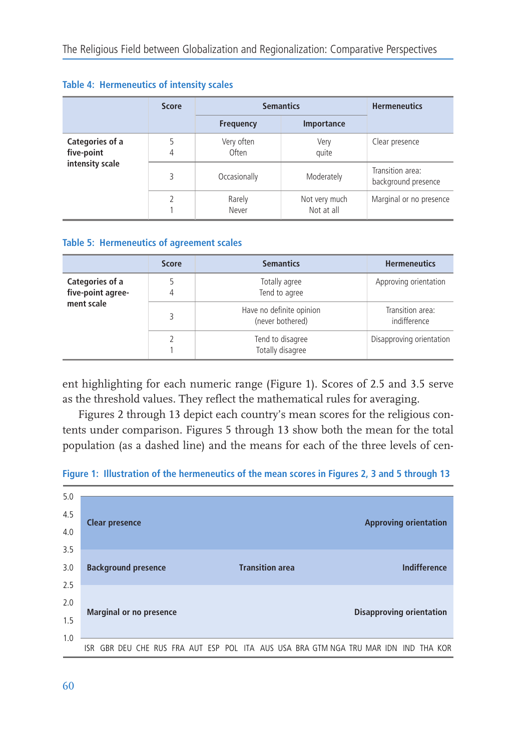|                                                  | <b>Score</b> |                     | <b>Semantics</b>            | <b>Hermeneutics</b>                     |  |
|--------------------------------------------------|--------------|---------------------|-----------------------------|-----------------------------------------|--|
|                                                  |              | <b>Frequency</b>    | Importance                  |                                         |  |
| Categories of a<br>five-point<br>intensity scale |              | Very often<br>Often | Very<br>quite               | Clear presence                          |  |
|                                                  | ς            | Occasionally        | Moderately                  | Transition area:<br>background presence |  |
|                                                  |              | Rarely<br>Never     | Not very much<br>Not at all | Marginal or no presence                 |  |

#### Table 4: Hermeneutics of intensity scales

#### Table 5: Hermeneutics of agreement scales

|                                                    | <b>Score</b> | <b>Semantics</b>                             | <b>Hermeneutics</b>              |
|----------------------------------------------------|--------------|----------------------------------------------|----------------------------------|
| Categories of a<br>five-point agree-<br>ment scale |              | Totally agree<br>Tend to agree               | Approving orientation            |
|                                                    |              | Have no definite opinion<br>(never bothered) | Transition area:<br>indifference |
|                                                    |              | Tend to disagree<br>Totally disagree         | Disapproving orientation         |

ent highlighting for each numeric range (Figure 1). Scores of 2.5 and 3.5 serve as the threshold values. They reflect the mathematical rules for averaging.

Figures 2 through 13 depict each country's mean scores for the religious contents under comparison. Figures 5 through 13 show both the mean for the total population (as a dashed line) and the means for each of the three levels of cen-



Figure 1: Illustration of the hermeneutics of the mean scores in Figures 2, 3 and 5 through 13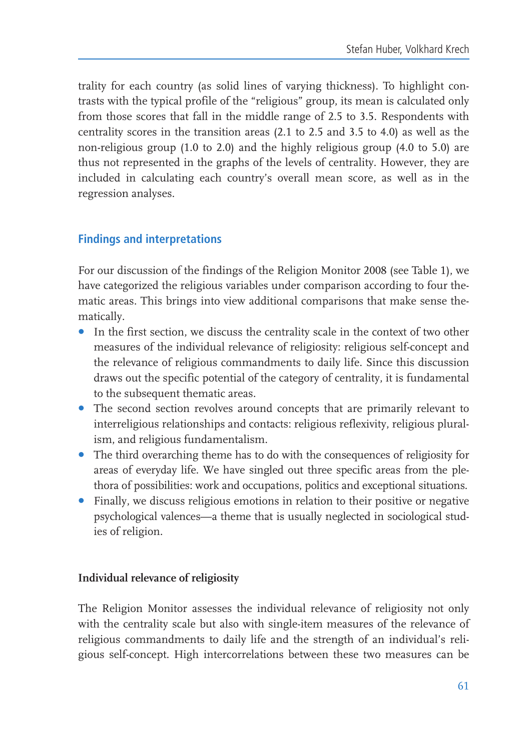trality for each country (as solid lines of varying thickness). To highlight contrasts with the typical profile of the "religious" group, its mean is calculated only from those scores that fall in the middle range of 2.5 to 3.5. Respondents with centrality scores in the transition areas (2.1 to 2.5 and 3.5 to 4.0) as well as the non-religious group  $(1.0 \text{ to } 2.0)$  and the highly religious group  $(4.0 \text{ to } 5.0)$  are thus not represented in the graphs of the levels of centrality. However, they are included in calculating each country's overall mean score, as well as in the regression analyses.

## **Findings and interpretations**

For our discussion of the findings of the Religion Monitor 2008 (see Table 1), we have categorized the religious variables under comparison according to four thematic areas. This brings into view additional comparisons that make sense thematically.

- In the first section, we discuss the centrality scale in the context of two other measures of the individual relevance of religiosity: religious self-concept and the relevance of religious commandments to daily life. Since this discussion draws out the specific potential of the category of centrality, it is fundamental to the subsequent thematic areas.
- The second section revolves around concepts that are primarily relevant to interreligious relationships and contacts: religious reflexivity, religious pluralism, and religious fundamentalism.
- The third overarching theme has to do with the consequences of religiosity for areas of everyday life. We have singled out three specific areas from the plethora of possibilities: work and occupations, politics and exceptional situations.
- Finally, we discuss religious emotions in relation to their positive or negative psychological valences—a theme that is usually neglected in sociological studies of religion.

## Individual relevance of religiosity

The Religion Monitor assesses the individual relevance of religiosity not only with the centrality scale but also with single-item measures of the relevance of religious commandments to daily life and the strength of an individual's religious self-concept. High intercorrelations between these two measures can be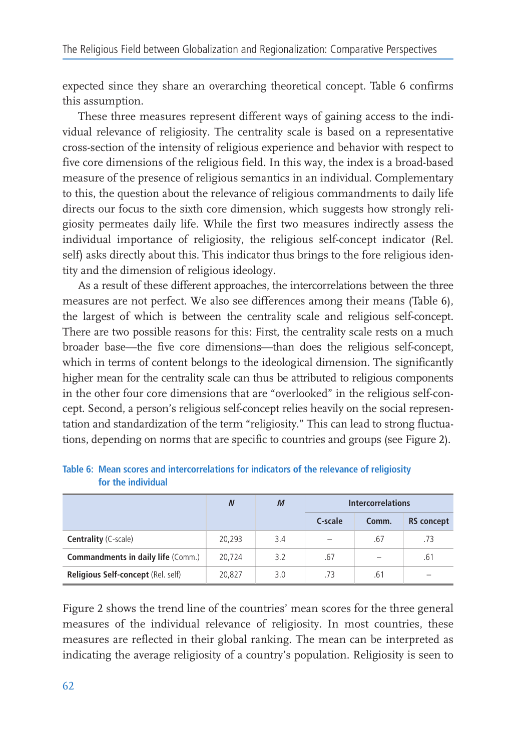expected since they share an overarching theoretical concept. Table 6 confirms this assumption.

These three measures represent different ways of gaining access to the individual relevance of religiosity. The centrality scale is based on a representative cross-section of the intensity of religious experience and behavior with respect to five core dimensions of the religious field. In this way, the index is a broad-based measure of the presence of religious semantics in an individual. Complementary to this, the question about the relevance of religious commandments to daily life directs our focus to the sixth core dimension, which suggests how strongly religiosity permeates daily life. While the first two measures indirectly assess the individual importance of religiosity, the religious self-concept indicator (Rel. self) asks directly about this. This indicator thus brings to the fore religious identity and the dimension of religious ideology.

As a result of these different approaches, the intercorrelations between the three measures are not perfect. We also see differences among their means (Table 6), the largest of which is between the centrality scale and religious self-concept. There are two possible reasons for this: First, the centrality scale rests on a much broader base—the five core dimensions—than does the religious self-concept, which in terms of content belongs to the ideological dimension. The significantly higher mean for the centrality scale can thus be attributed to religious components in the other four core dimensions that are "overlooked" in the religious self-concept. Second, a person's religious self-concept relies heavily on the social representation and standardization of the term "religiosity." This can lead to strong fluctuations, depending on norms that are specific to countries and groups (see Figure 2).

|                                           | $\boldsymbol{N}$ | $\boldsymbol{M}$ | <b>Intercorrelations</b> |       |                   |
|-------------------------------------------|------------------|------------------|--------------------------|-------|-------------------|
|                                           |                  |                  | C-scale                  | Comm. | <b>RS</b> concept |
| <b>Centrality</b> (C-scale)               | 20,293           | 3.4              | $\sim$                   | .67   | .73               |
| <b>Commandments in daily life (Comm.)</b> | 20,724           | 3.2              | .67                      |       | .61               |
| Religious Self-concept (Rel. self)        | 20,827           | 3.0              | .73                      | .61   | -                 |

Table 6: Mean scores and intercorrelations for indicators of the relevance of religiosity for the individual

Figure 2 shows the trend line of the countries' mean scores for the three general measures of the individual relevance of religiosity. In most countries, these measures are reflected in their global ranking. The mean can be interpreted as indicating the average religiosity of a country's population. Religiosity is seen to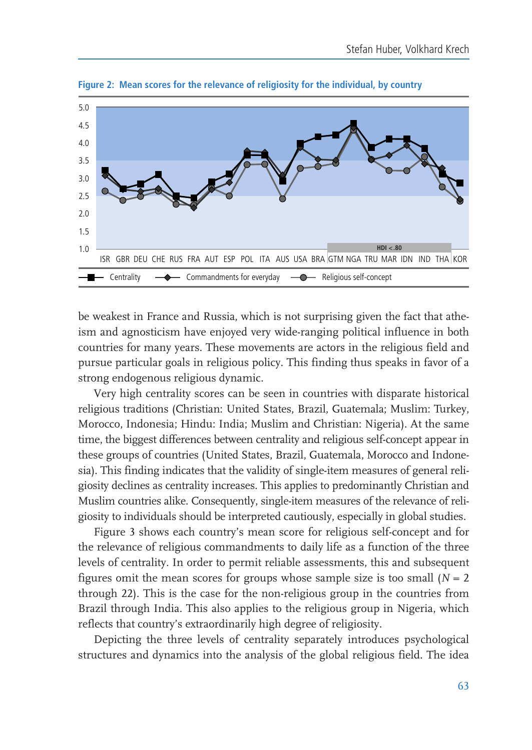

Figure 2: Mean scores for the relevance of religiosity for the individual, by country

be weakest in France and Russia, which is not surprising given the fact that atheism and agnosticism have enjoyed very wide-ranging political influence in both countries for many years. These movements are actors in the religious field and pursue particular goals in religious policy. This finding thus speaks in favor of a strong endogenous religious dynamic.

Very high centrality scores can be seen in countries with disparate historical religious traditions (Christian: United States, Brazil, Guatemala; Muslim: Turkey, Morocco, Indonesia; Hindu: India; Muslim and Christian; Nigeria). At the same time, the biggest differences between centrality and religious self-concept appear in these groups of countries (United States, Brazil, Guatemala, Morocco and Indonesia). This finding indicates that the validity of single-item measures of general religiosity declines as centrality increases. This applies to predominantly Christian and Muslim countries alike. Consequently, single-item measures of the relevance of religiosity to individuals should be interpreted cautiously, especially in global studies.

Figure 3 shows each country's mean score for religious self-concept and for the relevance of religious commandments to daily life as a function of the three levels of centrality. In order to permit reliable assessments, this and subsequent figures omit the mean scores for groups whose sample size is too small  $(N = 2)$ through 22). This is the case for the non-religious group in the countries from Brazil through India. This also applies to the religious group in Nigeria, which reflects that country's extraordinarily high degree of religiosity.

Depicting the three levels of centrality separately introduces psychological structures and dynamics into the analysis of the global religious field. The idea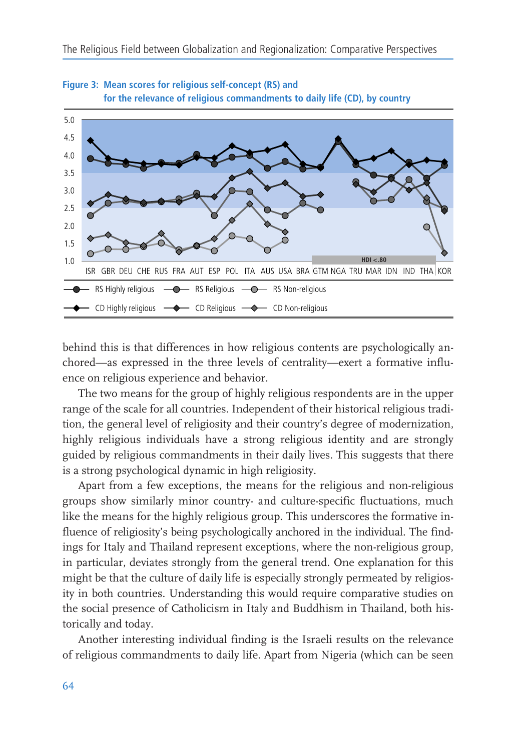



behind this is that differences in how religious contents are psychologically anchored—as expressed in the three levels of centrality—exert a formative influence on religious experience and behavior.

The two means for the group of highly religious respondents are in the upper range of the scale for all countries. Independent of their historical religious tradition, the general level of religiosity and their country's degree of modernization, highly religious individuals have a strong religious identity and are strongly guided by religious commandments in their daily lives. This suggests that there is a strong psychological dynamic in high religiosity.

Apart from a few exceptions, the means for the religious and non-religious groups show similarly minor country- and culture-specific fluctuations, much like the means for the highly religious group. This underscores the formative influence of religiosity's being psychologically anchored in the individual. The findings for Italy and Thailand represent exceptions, where the non-religious group, in particular, deviates strongly from the general trend. One explanation for this might be that the culture of daily life is especially strongly permeated by religiosity in both countries. Understanding this would require comparative studies on the social presence of Catholicism in Italy and Buddhism in Thailand, both historically and today.

Another interesting individual finding is the Israeli results on the relevance of religious commandments to daily life. Apart from Nigeria (which can be seen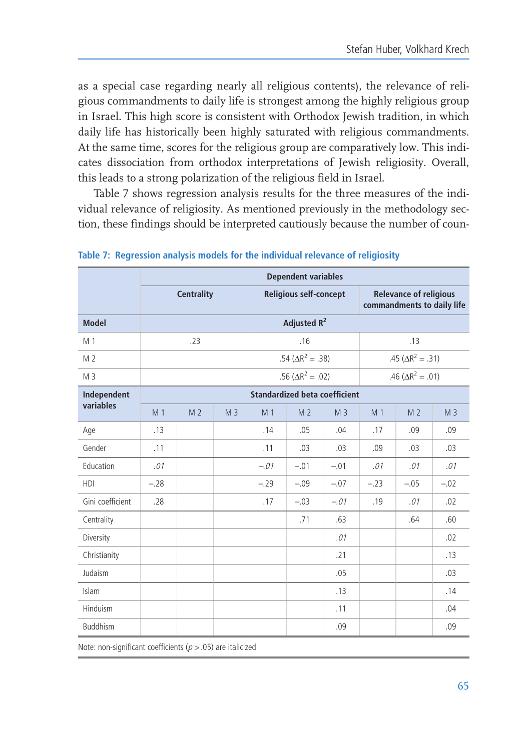as a special case regarding nearly all religious contents), the relevance of religious commandments to daily life is strongest among the highly religious group in Israel. This high score is consistent with Orthodox Jewish tradition, in which daily life has historically been highly saturated with religious commandments. At the same time, scores for the religious group are comparatively low. This indicates dissociation from orthodox interpretations of Jewish religiosity. Overall, this leads to a strong polarization of the religious field in Israel.

Table 7 shows regression analysis results for the three measures of the individual relevance of religiosity. As mentioned previously in the methodology section, these findings should be interpreted cautiously because the number of coun-

|                  |                                      | <b>Dependent variables</b> |                |                |                               |                |                                                             |                            |                |  |  |  |  |
|------------------|--------------------------------------|----------------------------|----------------|----------------|-------------------------------|----------------|-------------------------------------------------------------|----------------------------|----------------|--|--|--|--|
|                  |                                      | <b>Centrality</b>          |                |                | <b>Religious self-concept</b> |                | <b>Relevance of religious</b><br>commandments to daily life |                            |                |  |  |  |  |
| <b>Model</b>     |                                      | Adjusted R <sup>2</sup>    |                |                |                               |                |                                                             |                            |                |  |  |  |  |
| M 1              |                                      | .23                        |                |                | .16                           |                |                                                             | .13                        |                |  |  |  |  |
| M <sub>2</sub>   |                                      |                            |                |                | .54 ( $\Delta R^2 = .38$ )    |                |                                                             | .45 ( $\Delta R^2 = .31$ ) |                |  |  |  |  |
| M <sub>3</sub>   |                                      |                            |                |                | .56 ( $\Delta R^2 = .02$ )    |                |                                                             | .46 ( $\Delta R^2 = .01$ ) |                |  |  |  |  |
| Independent      | <b>Standardized beta coefficient</b> |                            |                |                |                               |                |                                                             |                            |                |  |  |  |  |
| variables        | M <sub>1</sub>                       | M <sub>2</sub>             | M <sub>3</sub> | M <sub>1</sub> | M <sub>2</sub>                | M <sub>3</sub> | M <sub>1</sub>                                              | M <sub>2</sub>             | M <sub>3</sub> |  |  |  |  |
| Age              | .13                                  |                            |                | .14            | .05                           | .04            | .17                                                         | .09                        | .09            |  |  |  |  |
| Gender           | .11                                  |                            |                | .11            | .03                           | .03            | .09                                                         | .03                        | .03            |  |  |  |  |
| Education        | .01                                  |                            |                | $-.01$         | $-.01$                        | $-.01$         | .01                                                         | .01                        | .01            |  |  |  |  |
| <b>HDI</b>       | $-.28$                               |                            |                | $-.29$         | $-.09$                        | $-.07$         | $-.23$                                                      | $-.05$                     | $-.02$         |  |  |  |  |
| Gini coefficient | .28                                  |                            |                | .17            | $-.03$                        | $-.01$         | .19                                                         | .01                        | .02            |  |  |  |  |
| Centrality       |                                      |                            |                |                | .71                           | .63            |                                                             | .64                        | .60            |  |  |  |  |
| Diversity        |                                      |                            |                |                |                               | .01            |                                                             |                            | .02            |  |  |  |  |
| Christianity     |                                      |                            |                |                |                               | .21            |                                                             |                            | .13            |  |  |  |  |
| Judaism          |                                      |                            |                |                |                               | .05            |                                                             |                            | .03            |  |  |  |  |
| Islam            |                                      |                            |                |                |                               | .13            |                                                             |                            | .14            |  |  |  |  |
| Hinduism         |                                      |                            |                |                |                               | .11            |                                                             |                            | .04            |  |  |  |  |
| <b>Buddhism</b>  |                                      |                            |                |                |                               | .09            |                                                             |                            | .09            |  |  |  |  |
|                  |                                      |                            |                |                |                               |                |                                                             |                            |                |  |  |  |  |

Table 7: Regression analysis models for the individual relevance of religiosity

Note: non-significant coefficients ( $p > .05$ ) are italicized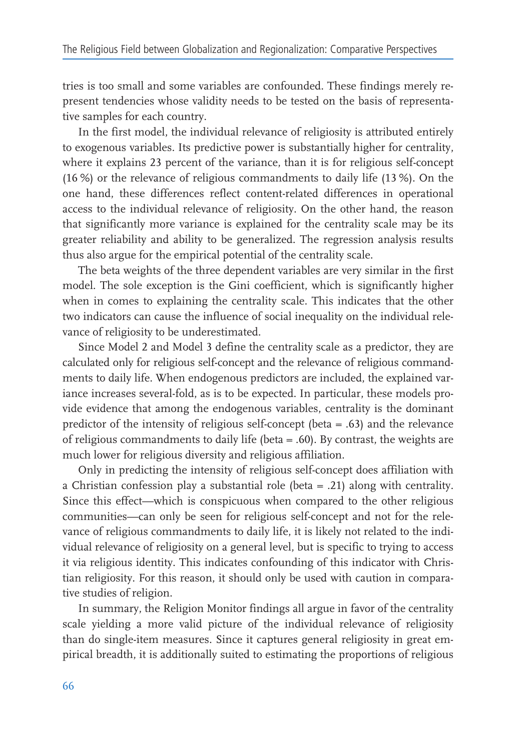tries is too small and some variables are confounded. These findings merely represent tendencies whose validity needs to be tested on the basis of representative samples for each country.

In the first model, the individual relevance of religiosity is attributed entirely to exogenous variables. Its predictive power is substantially higher for centrality, where it explains 23 percent of the variance, than it is for religious self-concept (16 %) or the relevance of religious commandments to daily life (13 %). On the one hand, these differences reflect content-related differences in operational access to the individual relevance of religiosity. On the other hand, the reason that significantly more variance is explained for the centrality scale may be its greater reliability and ability to be generalized. The regression analysis results thus also argue for the empirical potential of the centrality scale.

The beta weights of the three dependent variables are very similar in the first model. The sole exception is the Gini coefficient, which is significantly higher when in comes to explaining the centrality scale. This indicates that the other two indicators can cause the influence of social inequality on the individual relevance of religiosity to be underestimated.

Since Model 2 and Model 3 define the centrality scale as a predictor, they are calculated only for religious self-concept and the relevance of religious commandments to daily life. When endogenous predictors are included, the explained variance increases several-fold, as is to be expected. In particular, these models provide evidence that among the endogenous variables, centrality is the dominant predictor of the intensity of religious self-concept (beta  $= .63$ ) and the relevance of religious commandments to daily life (beta  $=$  .60). By contrast, the weights are much lower for religious diversity and religious affiliation.

Only in predicting the intensity of religious self-concept does affiliation with a Christian confession play a substantial role (beta  $= .21$ ) along with centrality. Since this effect—which is conspicuous when compared to the other religious communities-can only be seen for religious self-concept and not for the relevance of religious commandments to daily life, it is likely not related to the individual relevance of religiosity on a general level, but is specific to trying to access it via religious identity. This indicates confounding of this indicator with Christian religiosity. For this reason, it should only be used with caution in comparative studies of religion.

In summary, the Religion Monitor findings all argue in favor of the centrality scale yielding a more valid picture of the individual relevance of religiosity than do single-item measures. Since it captures general religiosity in great empirical breadth, it is additionally suited to estimating the proportions of religious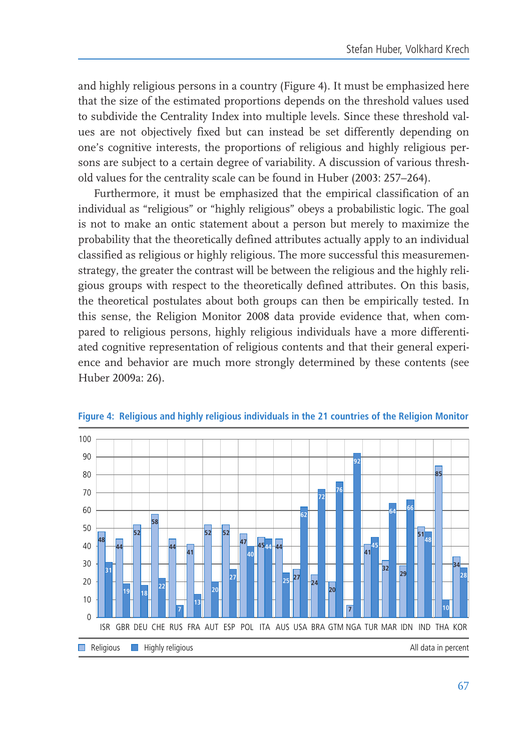and highly religious persons in a country (Figure 4). It must be emphasized here that the size of the estimated proportions depends on the threshold values used to subdivide the Centrality Index into multiple levels. Since these threshold values are not objectively fixed but can instead be set differently depending on one's cognitive interests, the proportions of religious and highly religious persons are subject to a certain degree of variability. A discussion of various threshold values for the centrality scale can be found in Huber (2003: 257–264).

Furthermore, it must be emphasized that the empirical classification of an individual as "religious" or "highly religious" obeys a probabilistic logic. The goal is not to make an ontic statement about a person but merely to maximize the probability that the theoretically defined attributes actually apply to an individual classified as religious or highly religious. The more successful this measuremenstrategy, the greater the contrast will be between the religious and the highly reli-<br> gious groups with respect to the theoretically defined attributes. On this basis, the theoretical postulates about both groups can then be empirically tested. In this sense, the Religion Monitor 2008 data provide evidence that, when compared to religious persons, highly religious individuals have a more differentiated cognitive representation of religious contents and that their general experience and behavior are much more strongly determined by these contents (see Huber 2009a: 26).



Figure 4: Religious and highly religious individuals in the 21 countries of the Religion Monitor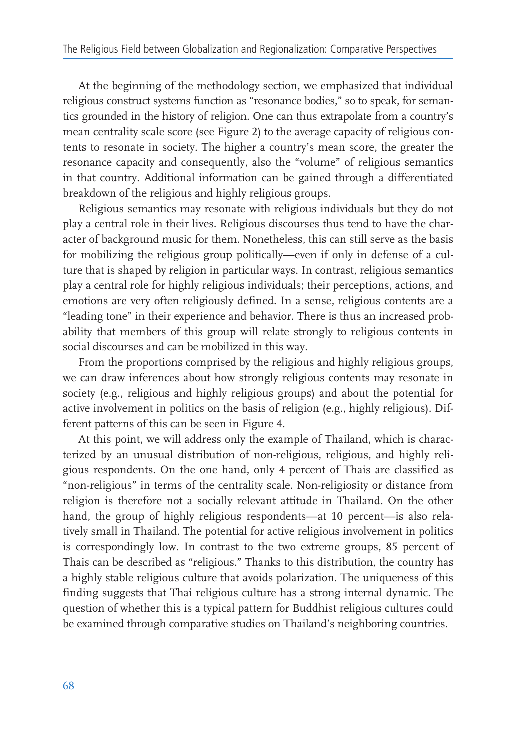At the beginning of the methodology section, we emphasized that individual religious construct systems function as "resonance bodies," so to speak, for semantics grounded in the history of religion. One can thus extrapolate from a country's mean centrality scale score (see Figure 2) to the average capacity of religious contents to resonate in society. The higher a country's mean score, the greater the resonance capacity and consequently, also the "volume" of religious semantics in that country. Additional information can be gained through a differentiated breakdown of the religious and highly religious groups.

Religious semantics may resonate with religious individuals but they do not play a central role in their lives. Religious discourses thus tend to have the character of background music for them. Nonetheless, this can still serve as the basis for mobilizing the religious group politically—even if only in defense of a culture that is shaped by religion in particular ways. In contrast, religious semantics play a central role for highly religious individuals; their perceptions, actions, and emotions are very often religiously defined. In a sense, religious contents are a "leading tone" in their experience and behavior. There is thus an increased probability that members of this group will relate strongly to religious contents in social discourses and can be mobilized in this way.

From the proportions comprised by the religious and highly religious groups, we can draw inferences about how strongly religious contents may resonate in society (e.g., religious and highly religious groups) and about the potential for active involvement in politics on the basis of religion (e.g., highly religious). Different patterns of this can be seen in Figure 4.

At this point, we will address only the example of Thailand, which is characterized by an unusual distribution of non-religious, religious, and highly religious respondents. On the one hand, only 4 percent of Thais are classified as "non-religious" in terms of the centrality scale. Non-religiosity or distance from religion is therefore not a socially relevant attitude in Thailand. On the other hand, the group of highly religious respondents—at 10 percent—is also relatively small in Thailand. The potential for active religious involvement in politics is correspondingly low. In contrast to the two extreme groups, 85 percent of Thais can be described as "religious." Thanks to this distribution, the country has a highly stable religious culture that avoids polarization. The uniqueness of this finding suggests that Thai religious culture has a strong internal dynamic. The question of whether this is a typical pattern for Buddhist religious cultures could be examined through comparative studies on Thailand's neighboring countries.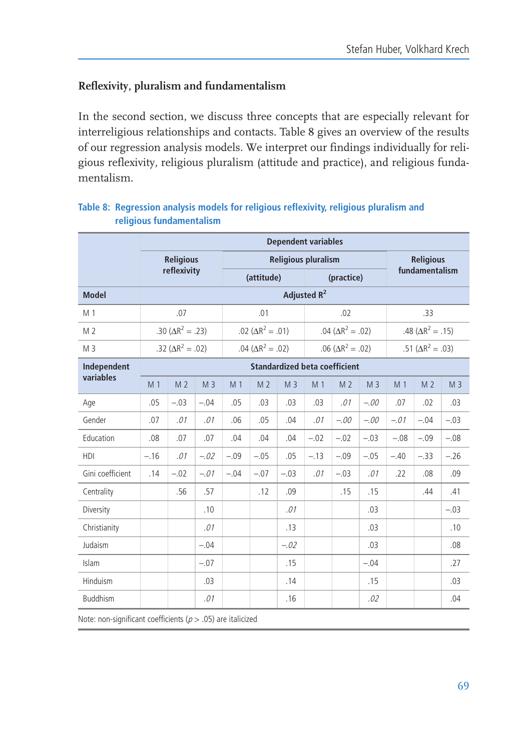# Reflexivity, pluralism and fundamentalism

In the second section, we discuss three concepts that are especially relevant for interreligious relationships and contacts. Table 8 gives an overview of the results of our regression analysis models. We interpret our findings individually for religious reflexivity, religious pluralism (attitude and practice), and religious fundamentalism

|                  |        |                            |                |                |                            |                | <b>Dependent variables</b>           |                            |                |                  |                            |                |  |
|------------------|--------|----------------------------|----------------|----------------|----------------------------|----------------|--------------------------------------|----------------------------|----------------|------------------|----------------------------|----------------|--|
|                  |        | <b>Religious</b>           |                |                |                            |                | <b>Religious pluralism</b>           |                            |                | <b>Religious</b> |                            |                |  |
|                  |        | reflexivity                |                |                | (attitude)                 |                |                                      | (practice)                 |                |                  | fundamentalism             |                |  |
| <b>Model</b>     |        |                            |                |                |                            |                |                                      |                            |                |                  |                            |                |  |
| M 1              |        | .07                        |                |                | .01                        |                |                                      | .02                        |                |                  | .33                        |                |  |
| M <sub>2</sub>   |        | .30 ( $\Delta R^2 = .23$ ) |                |                | .02 ( $\Delta R^2 = .01$ ) |                |                                      | .04 ( $\Delta R^2 = .02$ ) |                |                  | .48 ( $\Delta R^2 = .15$ ) |                |  |
| M <sub>3</sub>   |        | .32 ( $\Delta R^2 = .02$ ) |                |                | .04 ( $\Delta R^2$ = .02)  |                |                                      | .06 ( $\Delta R^2 = .02$ ) |                |                  | .51 ( $\Delta R^2 = .03$ ) |                |  |
| Independent      |        |                            |                |                |                            |                | <b>Standardized beta coefficient</b> |                            |                |                  |                            |                |  |
| variables        | M 1    | M <sub>2</sub>             | M <sub>3</sub> | M <sub>1</sub> | M <sub>2</sub>             | M <sub>3</sub> | M <sub>1</sub>                       | M <sub>2</sub>             | M <sub>3</sub> | M <sub>1</sub>   | M <sub>2</sub>             | M <sub>3</sub> |  |
| Age              | .05    | $-.03$                     | $-.04$         | .05            | .03                        | .03            | .03                                  | .01                        | $-.00$         | .07              | .02                        | .03            |  |
| Gender           | .07    | .01                        | .01            | .06            | .05                        | .04            | .01                                  | $-.00$                     | $-.00$         | $-.01$           | $-.04$                     | $-.03$         |  |
| Education        | .08    | .07                        | .07            | .04            | .04                        | .04            | $-.02$                               | $-.02$                     | $-.03$         | $-.08$           | $-.09$                     | $-.08$         |  |
| <b>HDI</b>       | $-.16$ | .01                        | $-.02$         | $-.09$         | $-.05$                     | .05            | $-.13$                               | $-.09$                     | $-.05$         | $-.40$           | $-.33$                     | $-.26$         |  |
| Gini coefficient | .14    | $-.02$                     | $-.01$         | $-.04$         | $-.07$                     | $-.03$         | .01                                  | $-.03$                     | .01            | .22              | .08                        | .09            |  |
| Centrality       |        | .56                        | .57            |                | .12                        | .09            |                                      | .15                        | .15            |                  | .44                        | .41            |  |
| Diversity        |        |                            | .10            |                |                            | .01            |                                      |                            | .03            |                  |                            | $-.03$         |  |
| Christianity     |        |                            | .01            |                |                            | .13            |                                      |                            | .03            |                  |                            | .10            |  |
| Judaism          |        |                            | $-.04$         |                |                            | $-.02$         |                                      |                            | .03            |                  |                            | .08            |  |
| Islam            |        |                            | $-.07$         |                |                            | .15            |                                      |                            | $-.04$         |                  |                            | .27            |  |
| Hinduism         |        |                            | .03            |                |                            | .14            |                                      |                            | .15            |                  |                            | .03            |  |
| <b>Buddhism</b>  |        |                            | .01            |                |                            | .16            |                                      |                            | .02            |                  |                            | .04            |  |

## Table 8: Regression analysis models for religious reflexivity, religious pluralism and religious fundamentalism

Note: non-significant coefficients ( $p > .05$ ) are italicized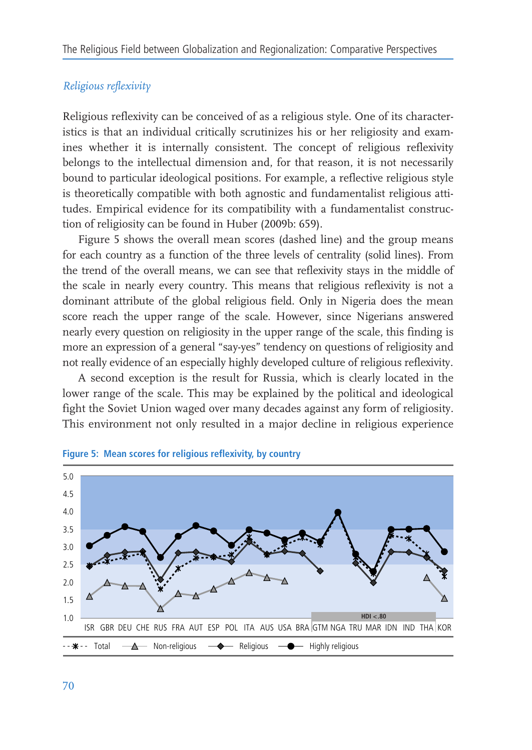#### Religious reflexivity

Religious reflexivity can be conceived of as a religious style. One of its characteristics is that an individual critically scrutinizes his or her religiosity and examines whether it is internally consistent. The concept of religious reflexivity belongs to the intellectual dimension and, for that reason, it is not necessarily bound to particular ideological positions. For example, a reflective religious style is theoretically compatible with both agnostic and fundamentalist religious attitudes. Empirical evidence for its compatibility with a fundamentalist construction of religiosity can be found in Huber (2009b: 659).

Figure 5 shows the overall mean scores (dashed line) and the group means for each country as a function of the three levels of centrality (solid lines). From the trend of the overall means, we can see that reflexivity stays in the middle of the scale in nearly every country. This means that religious reflexivity is not a dominant attribute of the global religious field. Only in Nigeria does the mean score reach the upper range of the scale. However, since Nigerians answered nearly every question on religiosity in the upper range of the scale, this finding is more an expression of a general "say-yes" tendency on questions of religiosity and not really evidence of an especially highly developed culture of religious reflexivity.

A second exception is the result for Russia, which is clearly located in the lower range of the scale. This may be explained by the political and ideological fight the Soviet Union waged over many decades against any form of religiosity. This environment not only resulted in a major decline in religious experience



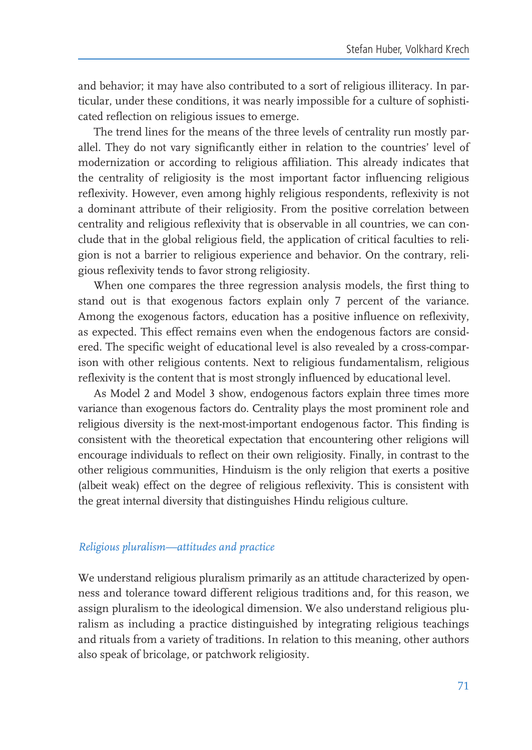and behavior; it may have also contributed to a sort of religious illiteracy. In particular, under these conditions, it was nearly impossible for a culture of sophisticated reflection on religious issues to emerge.

The trend lines for the means of the three levels of centrality run mostly parallel. They do not vary significantly either in relation to the countries' level of modernization or according to religious affiliation. This already indicates that the centrality of religiosity is the most important factor influencing religious reflexivity. However, even among highly religious respondents, reflexivity is not a dominant attribute of their religiosity. From the positive correlation between centrality and religious reflexivity that is observable in all countries, we can conclude that in the global religious field, the application of critical faculties to religion is not a barrier to religious experience and behavior. On the contrary, religious reflexivity tends to favor strong religiosity.

When one compares the three regression analysis models, the first thing to stand out is that exogenous factors explain only 7 percent of the variance. Among the exogenous factors, education has a positive influence on reflexivity, as expected. This effect remains even when the endogenous factors are considered. The specific weight of educational level is also revealed by a cross-comparison with other religious contents. Next to religious fundamentalism, religious reflexivity is the content that is most strongly influenced by educational level.

As Model 2 and Model 3 show, endogenous factors explain three times more variance than exogenous factors do. Centrality plays the most prominent role and religious diversity is the next-most-important endogenous factor. This finding is consistent with the theoretical expectation that encountering other religions will encourage individuals to reflect on their own religiosity. Finally, in contrast to the other religious communities, Hinduism is the only religion that exerts a positive (albeit weak) effect on the degree of religious reflexivity. This is consistent with the great internal diversity that distinguishes Hindu religious culture.

#### Religious pluralism—attitudes and practice

We understand religious pluralism primarily as an attitude characterized by openness and tolerance toward different religious traditions and, for this reason, we assign pluralism to the ideological dimension. We also understand religious pluralism as including a practice distinguished by integrating religious teachings and rituals from a variety of traditions. In relation to this meaning, other authors also speak of bricolage, or patchwork religiosity.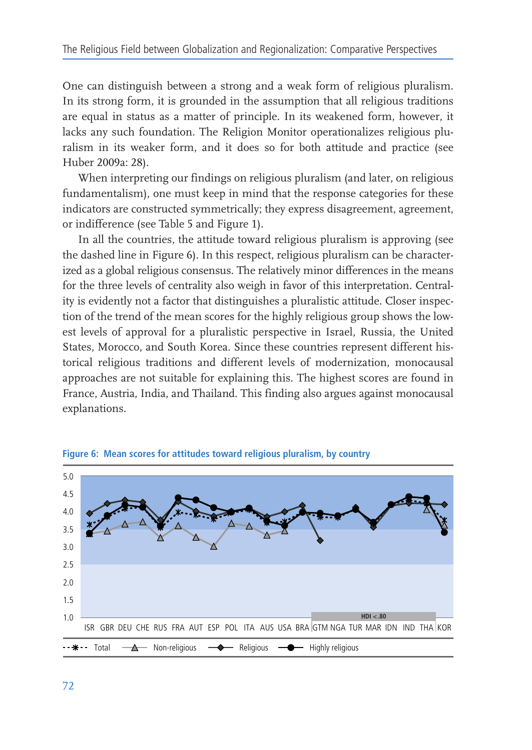One can distinguish between a strong and a weak form of religious pluralism. In its strong form, it is grounded in the assumption that all religious traditions are equal in status as a matter of principle. In its weakened form, however, it lacks any such foundation. The Religion Monitor operationalizes religious pluralism in its weaker form, and it does so for both attitude and practice (see Huber 2009a: 28).

When interpreting our findings on religious pluralism (and later, on religious fundamentalism), one must keep in mind that the response categories for these indicators are constructed symmetrically; they express disagreement, agreement, or indifference (see Table 5 and Figure 1).

In all the countries, the attitude toward religious pluralism is approving (see the dashed line in Figure 6). In this respect, religious pluralism can be characterized as a global religious consensus. The relatively minor differences in the means for the three levels of centrality also weigh in favor of this interpretation. Centrality is evidently not a factor that distinguishes a pluralistic attitude. Closer inspection of the trend of the mean scores for the highly religious group shows the lowest levels of approval for a pluralistic perspective in Israel, Russia, the United States, Morocco, and South Korea. Since these countries represent different historical religious traditions and different levels of modernization, monocausal approaches are not suitable for explaining this. The highest scores are found in France, Austria, India, and Thailand. This finding also argues against monocausal explanations.



Figure 6: Mean scores for attitudes toward religious pluralism, by country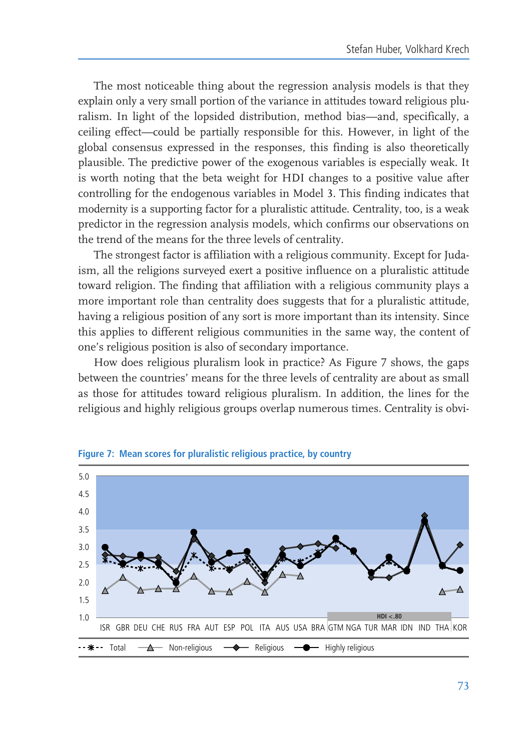The most noticeable thing about the regression analysis models is that they explain only a very small portion of the variance in attitudes toward religious pluralism. In light of the lopsided distribution, method bias—and, specifically, a ceiling effect—could be partially responsible for this. However, in light of the global consensus expressed in the responses, this finding is also theoretically plausible. The predictive power of the exogenous variables is especially weak. It is worth noting that the beta weight for HDI changes to a positive value after controlling for the endogenous variables in Model 3. This finding indicates that modernity is a supporting factor for a pluralistic attitude. Centrality, too, is a weak predictor in the regression analysis models, which confirms our observations on the trend of the means for the three levels of centrality.

The strongest factor is affiliation with a religious community. Except for Judaism, all the religions surveyed exert a positive influence on a pluralistic attitude toward religion. The finding that affiliation with a religious community plays a more important role than centrality does suggests that for a pluralistic attitude, having a religious position of any sort is more important than its intensity. Since this applies to different religious communities in the same way, the content of one's religious position is also of secondary importance.

How does religious pluralism look in practice? As Figure 7 shows, the gaps between the countries' means for the three levels of centrality are about as small as those for attitudes toward religious pluralism. In addition, the lines for the religious and highly religious groups overlap numerous times. Centrality is obvi-



Figure 7: Mean scores for pluralistic religious practice, by country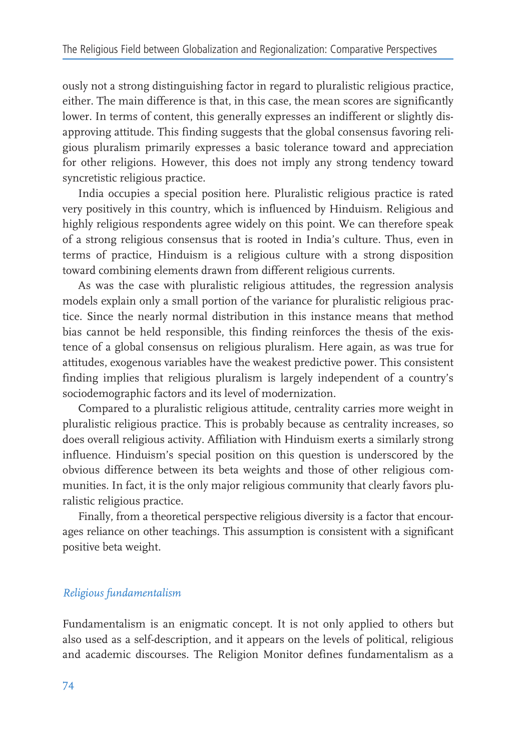ously not a strong distinguishing factor in regard to pluralistic religious practice, either. The main difference is that, in this case, the mean scores are significantly lower. In terms of content, this generally expresses an indifferent or slightly disapproving attitude. This finding suggests that the global consensus favoring religious pluralism primarily expresses a basic tolerance toward and appreciation for other religions. However, this does not imply any strong tendency toward syncretistic religious practice.

India occupies a special position here. Pluralistic religious practice is rated very positively in this country, which is influenced by Hinduism. Religious and highly religious respondents agree widely on this point. We can therefore speak of a strong religious consensus that is rooted in India's culture. Thus, even in terms of practice, Hinduism is a religious culture with a strong disposition toward combining elements drawn from different religious currents.

As was the case with pluralistic religious attitudes, the regression analysis models explain only a small portion of the variance for pluralistic religious practice. Since the nearly normal distribution in this instance means that method bias cannot be held responsible, this finding reinforces the thesis of the existence of a global consensus on religious pluralism. Here again, as was true for attitudes, exogenous variables have the weakest predictive power. This consistent finding implies that religious pluralism is largely independent of a country's sociodemographic factors and its level of modernization.

Compared to a pluralistic religious attitude, centrality carries more weight in pluralistic religious practice. This is probably because as centrality increases, so does overall religious activity. Affiliation with Hinduism exerts a similarly strong influence. Hinduism's special position on this question is underscored by the obvious difference between its beta weights and those of other religious communities. In fact, it is the only major religious community that clearly favors pluralistic religious practice.

Finally, from a theoretical perspective religious diversity is a factor that encourages reliance on other teachings. This assumption is consistent with a significant positive beta weight.

## Religious fundamentalism

Fundamentalism is an enigmatic concept. It is not only applied to others but also used as a self-description, and it appears on the levels of political, religious and academic discourses. The Religion Monitor defines fundamentalism as a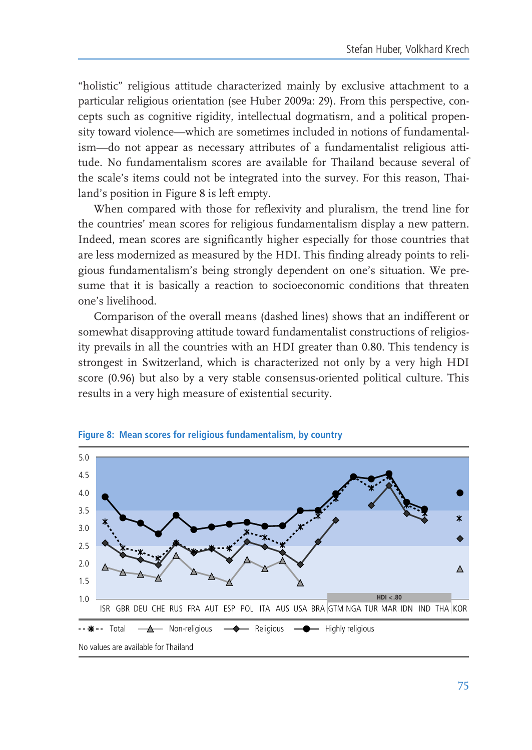"holistic" religious attitude characterized mainly by exclusive attachment to a particular religious orientation (see Huber 2009a: 29). From this perspective, concepts such as cognitive rigidity, intellectual dogmatism, and a political propensity toward violence—which are sometimes included in notions of fundamentalism-do not appear as necessary attributes of a fundamentalist religious attitude. No fundamentalism scores are available for Thailand because several of the scale's items could not be integrated into the survey. For this reason, Thailand's position in Figure 8 is left empty.

When compared with those for reflexivity and pluralism, the trend line for the countries' mean scores for religious fundamentalism display a new pattern. Indeed, mean scores are significantly higher especially for those countries that are less modernized as measured by the HDI. This finding already points to religious fundamentalism's being strongly dependent on one's situation. We presume that it is basically a reaction to socioeconomic conditions that threaten one's livelihood.

Comparison of the overall means (dashed lines) shows that an indifferent or somewhat disapproving attitude toward fundamentalist constructions of religiosity prevails in all the countries with an HDI greater than 0.80. This tendency is strongest in Switzerland, which is characterized not only by a very high HDI score (0.96) but also by a very stable consensus-oriented political culture. This results in a very high measure of existential security.



Figure 8: Mean scores for religious fundamentalism, by country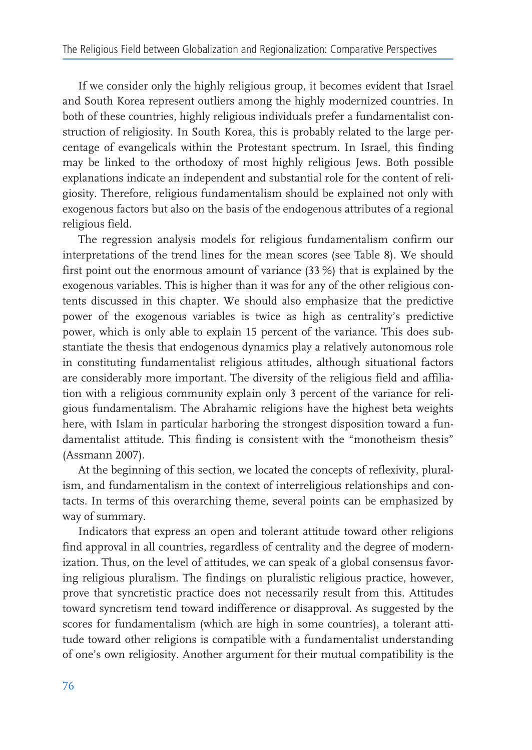If we consider only the highly religious group, it becomes evident that Israel and South Korea represent outliers among the highly modernized countries. In both of these countries, highly religious individuals prefer a fundamentalist construction of religiosity. In South Korea, this is probably related to the large percentage of evangelicals within the Protestant spectrum. In Israel, this finding may be linked to the orthodoxy of most highly religious Jews. Both possible explanations indicate an independent and substantial role for the content of religiosity. Therefore, religious fundamentalism should be explained not only with exogenous factors but also on the basis of the endogenous attributes of a regional religious field.

The regression analysis models for religious fundamentalism confirm our interpretations of the trend lines for the mean scores (see Table 8). We should first point out the enormous amount of variance (33%) that is explained by the exogenous variables. This is higher than it was for any of the other religious contents discussed in this chapter. We should also emphasize that the predictive power of the exogenous variables is twice as high as centrality's predictive power, which is only able to explain 15 percent of the variance. This does substantiate the thesis that endogenous dynamics play a relatively autonomous role in constituting fundamentalist religious attitudes, although situational factors are considerably more important. The diversity of the religious field and affiliation with a religious community explain only 3 percent of the variance for religious fundamentalism. The Abrahamic religions have the highest beta weights here, with Islam in particular harboring the strongest disposition toward a fundamentalist attitude. This finding is consistent with the "monotheism thesis" (Assmann 2007).

At the beginning of this section, we located the concepts of reflexivity, pluralism, and fundamentalism in the context of interreligious relationships and contacts. In terms of this overarching theme, several points can be emphasized by way of summary.

Indicators that express an open and tolerant attitude toward other religions find approval in all countries, regardless of centrality and the degree of modernization. Thus, on the level of attitudes, we can speak of a global consensus favoring religious pluralism. The findings on pluralistic religious practice, however, prove that syncretistic practice does not necessarily result from this. Attitudes toward syncretism tend toward indifference or disapproval. As suggested by the scores for fundamentalism (which are high in some countries), a tolerant attitude toward other religions is compatible with a fundamentalist understanding of one's own religiosity. Another argument for their mutual compatibility is the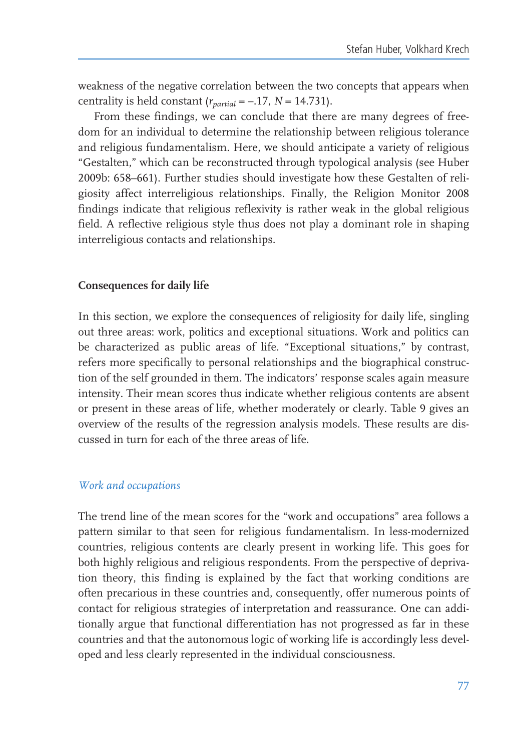weakness of the negative correlation between the two concepts that appears when centrality is held constant  $(r_{\textit{natural}} = -.17, N = 14.731)$ .

From these findings, we can conclude that there are many degrees of freedom for an individual to determine the relationship between religious tolerance and religious fundamentalism. Here, we should anticipate a variety of religious "Gestalten," which can be reconstructed through typological analysis (see Huber 2009b: 658–661). Further studies should investigate how these Gestalten of religiosity affect interreligious relationships. Finally, the Religion Monitor 2008 findings indicate that religious reflexivity is rather weak in the global religious field. A reflective religious style thus does not play a dominant role in shaping interreligious contacts and relationships.

#### Consequences for daily life

In this section, we explore the consequences of religiosity for daily life, singling out three areas: work, politics and exceptional situations. Work and politics can be characterized as public areas of life. "Exceptional situations," by contrast, refers more specifically to personal relationships and the biographical construction of the self grounded in them. The indicators' response scales again measure intensity. Their mean scores thus indicate whether religious contents are absent or present in these areas of life, whether moderately or clearly. Table 9 gives an overview of the results of the regression analysis models. These results are discussed in turn for each of the three areas of life.

#### Work and occupations

The trend line of the mean scores for the "work and occupations" area follows a pattern similar to that seen for religious fundamentalism. In less-modernized countries, religious contents are clearly present in working life. This goes for both highly religious and religious respondents. From the perspective of deprivation theory, this finding is explained by the fact that working conditions are often precarious in these countries and, consequently, offer numerous points of contact for religious strategies of interpretation and reassurance. One can additionally argue that functional differentiation has not progressed as far in these countries and that the autonomous logic of working life is accordingly less developed and less clearly represented in the individual consciousness.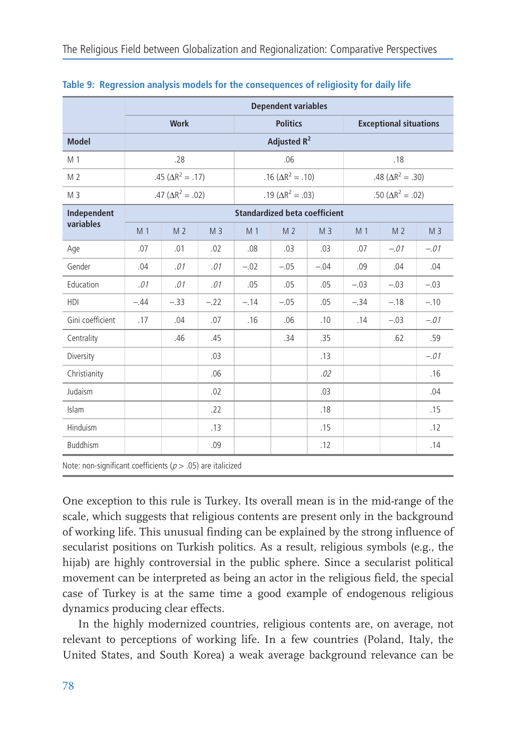|                  |                                      |                            |                |                         | <b>Dependent variables</b> |                |        |                               |                |  |  |  |  |
|------------------|--------------------------------------|----------------------------|----------------|-------------------------|----------------------------|----------------|--------|-------------------------------|----------------|--|--|--|--|
|                  |                                      | <b>Work</b>                |                |                         | <b>Politics</b>            |                |        | <b>Exceptional situations</b> |                |  |  |  |  |
| <b>Model</b>     |                                      |                            |                | Adjusted R <sup>2</sup> |                            |                |        |                               |                |  |  |  |  |
| M 1              |                                      | .28                        |                |                         | .06                        |                |        | .18                           |                |  |  |  |  |
| M <sub>2</sub>   |                                      | .45 ( $\Delta R^2 = .17$ ) |                |                         | .16 ( $\Delta R^2$ = .10)  |                |        | .48 ( $\Delta R^2 = .30$ )    |                |  |  |  |  |
| M <sub>3</sub>   |                                      | .47 ( $\Delta R^2 = .02$ ) |                |                         | .19 ( $\Delta R^2 = .03$ ) |                |        | .50 ( $\Delta R^2 = .02$ )    |                |  |  |  |  |
| Independent      | <b>Standardized beta coefficient</b> |                            |                |                         |                            |                |        |                               |                |  |  |  |  |
| variables        | M <sub>1</sub>                       | M <sub>2</sub>             | M <sub>3</sub> | M 1                     | M <sub>2</sub>             | M <sub>3</sub> | M 1    | M <sub>2</sub>                | M <sub>3</sub> |  |  |  |  |
| Age              | .07                                  | .01                        | .02            | .08                     | .03                        | .03            | .07    | $-.01$                        | $-.01$         |  |  |  |  |
| Gender           | .04                                  | .01                        | .01            | $-.02$                  | $-.05$                     | $-.04$         | .09    | .04                           | .04            |  |  |  |  |
| Education        | .01                                  | .01                        | .01            | .05                     | .05                        | .05            | $-.03$ | $-.03$                        | $-.03$         |  |  |  |  |
| <b>HDI</b>       | $-.44$                               | $-.33$                     | $-.22$         | $-.14$                  | $-.05$                     | .05            | $-.34$ | $-.18$                        | $-.10$         |  |  |  |  |
| Gini coefficient | .17                                  | .04                        | .07            | .16                     | .06                        | .10            | .14    | $-.03$                        | $-.01$         |  |  |  |  |
| Centrality       |                                      | .46                        | .45            |                         | .34                        | .35            |        | .62                           | .59            |  |  |  |  |
| Diversity        |                                      |                            | .03            |                         |                            | .13            |        |                               | $-.01$         |  |  |  |  |
| Christianity     |                                      |                            | .06            |                         |                            | .02            |        |                               | .16            |  |  |  |  |
| Judaism          |                                      |                            | .02            |                         |                            | .03            |        |                               | .04            |  |  |  |  |
| Islam            |                                      |                            | .22            |                         |                            | .18            |        |                               | .15            |  |  |  |  |
| Hinduism         |                                      |                            | .13            |                         |                            | .15            |        |                               | .12            |  |  |  |  |
| <b>Buddhism</b>  |                                      |                            | .09            |                         |                            | .12            |        |                               | .14            |  |  |  |  |

Table 9: Regression analysis models for the consequences of religiosity for daily life

One exception to this rule is Turkey. Its overall mean is in the mid-range of the scale, which suggests that religious contents are present only in the background of working life. This unusual finding can be explained by the strong influence of secularist positions on Turkish politics. As a result, religious symbols (e.g., the hijab) are highly controversial in the public sphere. Since a secularist political movement can be interpreted as being an actor in the religious field, the special case of Turkey is at the same time a good example of endogenous religious dynamics producing clear effects.

In the highly modernized countries, religious contents are, on average, not relevant to perceptions of working life. In a few countries (Poland, Italy, the United States, and South Korea) a weak average background relevance can be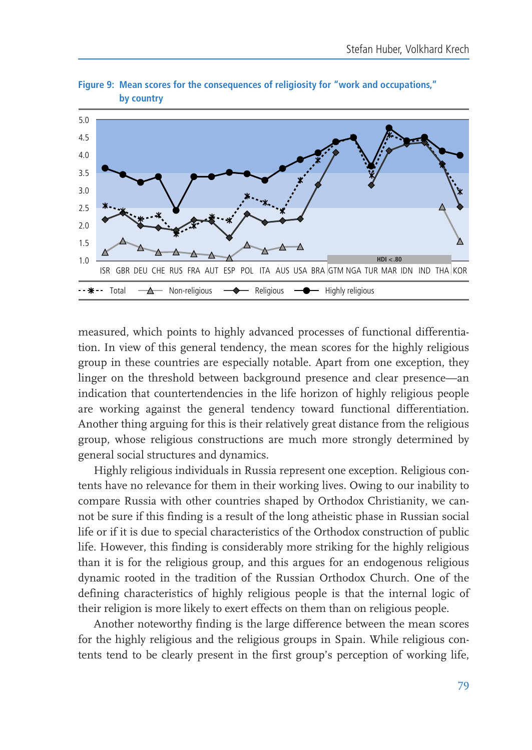

Figure 9: Mean scores for the consequences of religiosity for "work and occupations." by country

measured, which points to highly advanced processes of functional differentiation. In view of this general tendency, the mean scores for the highly religious group in these countries are especially notable. Apart from one exception, they linger on the threshold between background presence and clear presence—an indication that countertendencies in the life horizon of highly religious people are working against the general tendency toward functional differentiation. Another thing arguing for this is their relatively great distance from the religious group, whose religious constructions are much more strongly determined by general social structures and dynamics.

Highly religious individuals in Russia represent one exception. Religious contents have no relevance for them in their working lives. Owing to our inability to compare Russia with other countries shaped by Orthodox Christianity, we cannot be sure if this finding is a result of the long atheistic phase in Russian social life or if it is due to special characteristics of the Orthodox construction of public life. However, this finding is considerably more striking for the highly religious than it is for the religious group, and this argues for an endogenous religious dynamic rooted in the tradition of the Russian Orthodox Church. One of the defining characteristics of highly religious people is that the internal logic of their religion is more likely to exert effects on them than on religious people.

Another noteworthy finding is the large difference between the mean scores for the highly religious and the religious groups in Spain. While religious contents tend to be clearly present in the first group's perception of working life,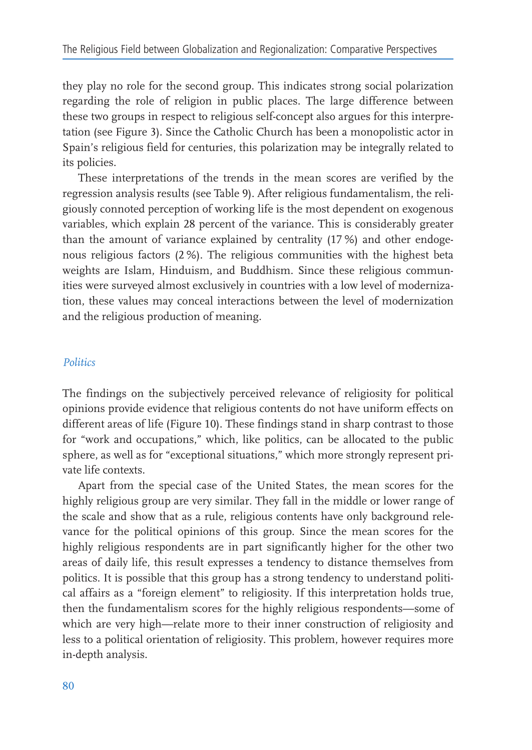they play no role for the second group. This indicates strong social polarization regarding the role of religion in public places. The large difference between these two groups in respect to religious self-concept also argues for this interpretation (see Figure 3). Since the Catholic Church has been a monopolistic actor in Spain's religious field for centuries, this polarization may be integrally related to its policies.

These interpretations of the trends in the mean scores are verified by the regression analysis results (see Table 9). After religious fundamentalism, the religiously connoted perception of working life is the most dependent on exogenous variables, which explain 28 percent of the variance. This is considerably greater than the amount of variance explained by centrality (17%) and other endogenous religious factors (2%). The religious communities with the highest beta weights are Islam, Hinduism, and Buddhism. Since these religious communities were surveyed almost exclusively in countries with a low level of modernization, these values may conceal interactions between the level of modernization and the religious production of meaning.

#### Politics

The findings on the subjectively perceived relevance of religiosity for political opinions provide evidence that religious contents do not have uniform effects on different areas of life (Figure 10). These findings stand in sharp contrast to those for "work and occupations," which, like politics, can be allocated to the public sphere, as well as for "exceptional situations," which more strongly represent private life contexts.

Apart from the special case of the United States, the mean scores for the highly religious group are very similar. They fall in the middle or lower range of the scale and show that as a rule, religious contents have only background relevance for the political opinions of this group. Since the mean scores for the highly religious respondents are in part significantly higher for the other two areas of daily life, this result expresses a tendency to distance themselves from politics. It is possible that this group has a strong tendency to understand political affairs as a "foreign element" to religiosity. If this interpretation holds true, then the fundamentalism scores for the highly religious respondents-some of which are very high—relate more to their inner construction of religiosity and less to a political orientation of religiosity. This problem, however requires more in-depth analysis.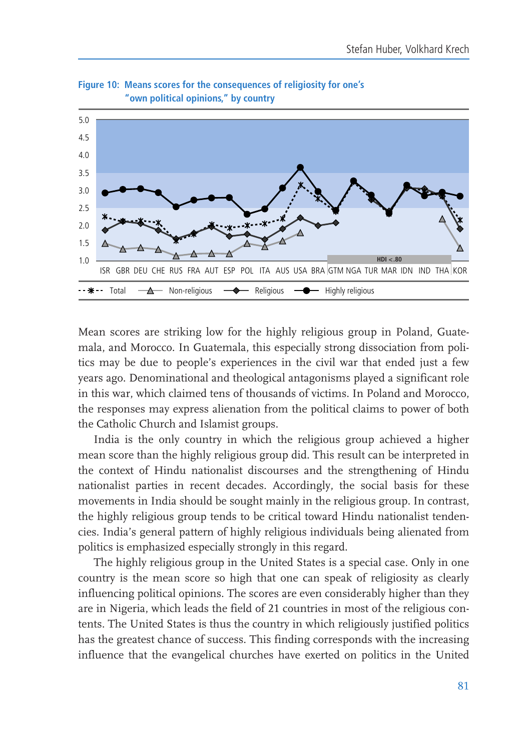

Figure 10: Means scores for the consequences of religiosity for one's "own political opinions," by country

Mean scores are striking low for the highly religious group in Poland, Guatemala, and Morocco. In Guatemala, this especially strong dissociation from politics may be due to people's experiences in the civil war that ended just a few years ago. Denominational and theological antagonisms played a significant role in this war, which claimed tens of thousands of victims. In Poland and Morocco, the responses may express alienation from the political claims to power of both the Catholic Church and Islamist groups.

India is the only country in which the religious group achieved a higher mean score than the highly religious group did. This result can be interpreted in the context of Hindu nationalist discourses and the strengthening of Hindu nationalist parties in recent decades. Accordingly, the social basis for these movements in India should be sought mainly in the religious group. In contrast, the highly religious group tends to be critical toward Hindu nationalist tendencies. India's general pattern of highly religious individuals being alienated from politics is emphasized especially strongly in this regard.

The highly religious group in the United States is a special case. Only in one country is the mean score so high that one can speak of religiosity as clearly influencing political opinions. The scores are even considerably higher than they are in Nigeria, which leads the field of 21 countries in most of the religious contents. The United States is thus the country in which religiously justified politics has the greatest chance of success. This finding corresponds with the increasing influence that the evangelical churches have exerted on politics in the United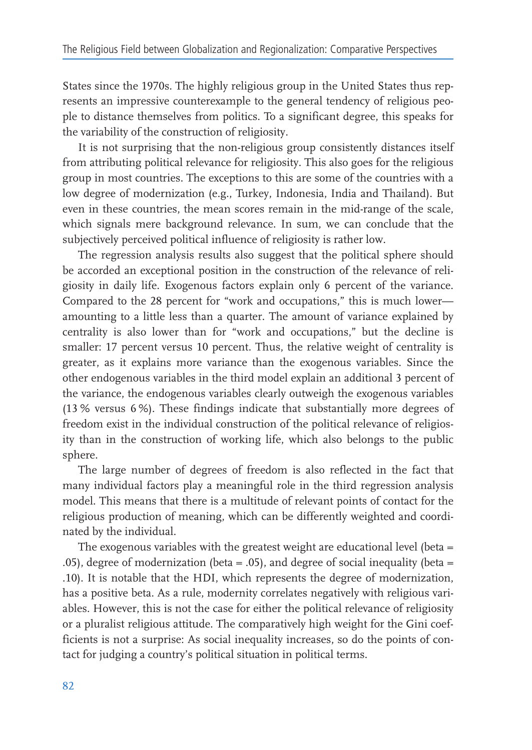States since the 1970s. The highly religious group in the United States thus represents an impressive counterexample to the general tendency of religious people to distance themselves from politics. To a significant degree, this speaks for the variability of the construction of religiosity.

It is not surprising that the non-religious group consistently distances itself from attributing political relevance for religiosity. This also goes for the religious group in most countries. The exceptions to this are some of the countries with a low degree of modernization (e.g., Turkey, Indonesia, India and Thailand). But even in these countries, the mean scores remain in the mid-range of the scale, which signals mere background relevance. In sum, we can conclude that the subjectively perceived political influence of religiosity is rather low.

The regression analysis results also suggest that the political sphere should be accorded an exceptional position in the construction of the relevance of religiosity in daily life. Exogenous factors explain only 6 percent of the variance. Compared to the 28 percent for "work and occupations," this is much lower amounting to a little less than a quarter. The amount of variance explained by centrality is also lower than for "work and occupations," but the decline is smaller: 17 percent versus 10 percent. Thus, the relative weight of centrality is greater, as it explains more variance than the exogenous variables. Since the other endogenous variables in the third model explain an additional 3 percent of the variance, the endogenous variables clearly outweigh the exogenous variables (13% versus 6%). These findings indicate that substantially more degrees of freedom exist in the individual construction of the political relevance of religiosity than in the construction of working life, which also belongs to the public sphere.

The large number of degrees of freedom is also reflected in the fact that many individual factors play a meaningful role in the third regression analysis model. This means that there is a multitude of relevant points of contact for the religious production of meaning, which can be differently weighted and coordinated by the individual.

The exogenous variables with the greatest weight are educational level (beta = .05), degree of modernization (beta = .05), and degree of social inequality (beta = .10). It is notable that the HDI, which represents the degree of modernization, has a positive beta. As a rule, modernity correlates negatively with religious variables. However, this is not the case for either the political relevance of religiosity or a pluralist religious attitude. The comparatively high weight for the Gini coefficients is not a surprise: As social inequality increases, so do the points of contact for judging a country's political situation in political terms.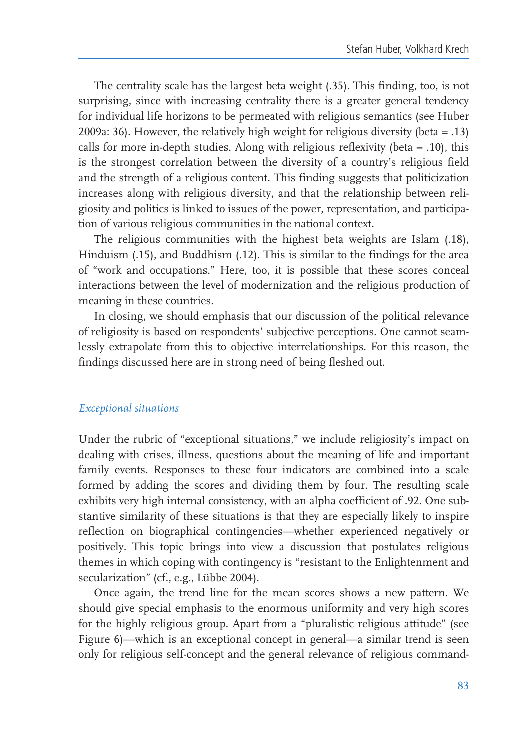The centrality scale has the largest beta weight (.35). This finding, too, is not surprising, since with increasing centrality there is a greater general tendency for individual life horizons to be permeated with religious semantics (see Huber 2009a: 36). However, the relatively high weight for religious diversity (beta = .13) calls for more in-depth studies. Along with religious reflexivity (beta  $= .10$ ), this is the strongest correlation between the diversity of a country's religious field and the strength of a religious content. This finding suggests that politicization increases along with religious diversity, and that the relationship between religiosity and politics is linked to issues of the power, representation, and participation of various religious communities in the national context.

The religious communities with the highest beta weights are Islam (.18), Hinduism (.15), and Buddhism (.12). This is similar to the findings for the area of "work and occupations." Here, too, it is possible that these scores conceal interactions between the level of modernization and the religious production of meaning in these countries.

In closing, we should emphasis that our discussion of the political relevance of religiosity is based on respondents' subjective perceptions. One cannot seamlessly extrapolate from this to objective interrelationships. For this reason, the findings discussed here are in strong need of being fleshed out.

#### Exceptional situations

Under the rubric of "exceptional situations," we include religiosity's impact on dealing with crises, illness, questions about the meaning of life and important family events. Responses to these four indicators are combined into a scale formed by adding the scores and dividing them by four. The resulting scale exhibits very high internal consistency, with an alpha coefficient of .92. One substantive similarity of these situations is that they are especially likely to inspire reflection on biographical contingencies—whether experienced negatively or positively. This topic brings into view a discussion that postulates religious themes in which coping with contingency is "resistant to the Enlightenment and secularization" (cf., e.g., Lübbe 2004).

Once again, the trend line for the mean scores shows a new pattern. We should give special emphasis to the enormous uniformity and very high scores for the highly religious group. Apart from a "pluralistic religious attitude" (see Figure 6)—which is an exceptional concept in general—a similar trend is seen only for religious self-concept and the general relevance of religious command-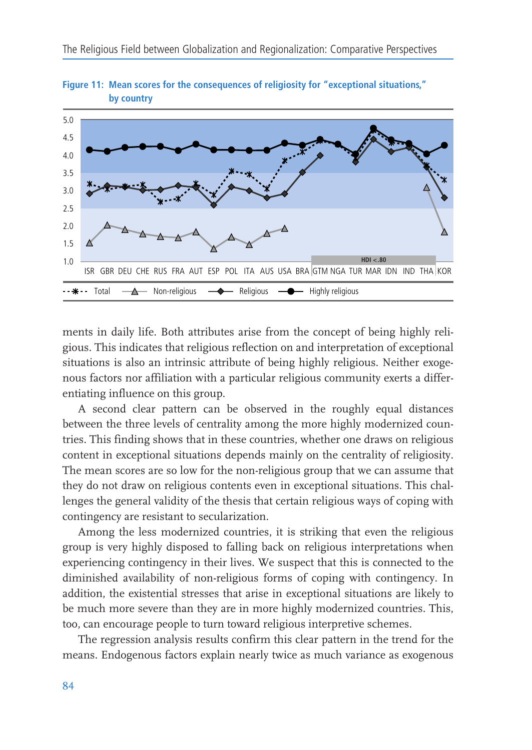

Figure 11: Mean scores for the consequences of religiosity for "exceptional situations," by country

ments in daily life. Both attributes arise from the concept of being highly religious. This indicates that religious reflection on and interpretation of exceptional situations is also an intrinsic attribute of being highly religious. Neither exogenous factors nor affiliation with a particular religious community exerts a differentiating influence on this group.

A second clear pattern can be observed in the roughly equal distances between the three levels of centrality among the more highly modernized countries. This finding shows that in these countries, whether one draws on religious content in exceptional situations depends mainly on the centrality of religiosity. The mean scores are so low for the non-religious group that we can assume that they do not draw on religious contents even in exceptional situations. This challenges the general validity of the thesis that certain religious ways of coping with contingency are resistant to secularization.

Among the less modernized countries, it is striking that even the religious group is very highly disposed to falling back on religious interpretations when experiencing contingency in their lives. We suspect that this is connected to the diminished availability of non-religious forms of coping with contingency. In addition, the existential stresses that arise in exceptional situations are likely to be much more severe than they are in more highly modernized countries. This, too, can encourage people to turn toward religious interpretive schemes.

The regression analysis results confirm this clear pattern in the trend for the means. Endogenous factors explain nearly twice as much variance as exogenous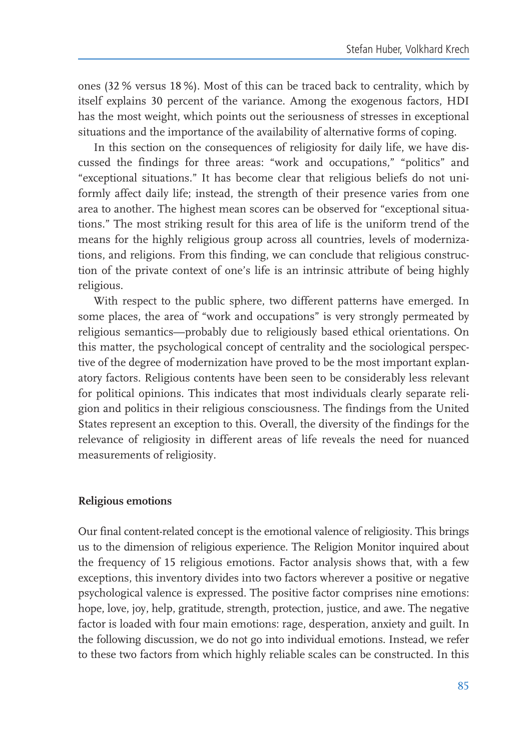ones (32% versus 18%). Most of this can be traced back to centrality, which by itself explains 30 percent of the variance. Among the exogenous factors, HDI has the most weight, which points out the seriousness of stresses in exceptional situations and the importance of the availability of alternative forms of coping.

In this section on the consequences of religiosity for daily life, we have discussed the findings for three areas: "work and occupations," "politics" and "exceptional situations." It has become clear that religious beliefs do not uniformly affect daily life; instead, the strength of their presence varies from one area to another. The highest mean scores can be observed for "exceptional situations." The most striking result for this area of life is the uniform trend of the means for the highly religious group across all countries, levels of modernizations, and religions. From this finding, we can conclude that religious construction of the private context of one's life is an intrinsic attribute of being highly religious.

With respect to the public sphere, two different patterns have emerged. In some places, the area of "work and occupations" is very strongly permeated by religious semantics-probably due to religiously based ethical orientations. On this matter, the psychological concept of centrality and the sociological perspective of the degree of modernization have proved to be the most important explanatory factors. Religious contents have been seen to be considerably less relevant for political opinions. This indicates that most individuals clearly separate religion and politics in their religious consciousness. The findings from the United States represent an exception to this. Overall, the diversity of the findings for the relevance of religiosity in different areas of life reveals the need for nuanced measurements of religiosity.

#### **Religious emotions**

Our final content-related concept is the emotional valence of religiosity. This brings us to the dimension of religious experience. The Religion Monitor inquired about the frequency of 15 religious emotions. Factor analysis shows that, with a few exceptions, this inventory divides into two factors wherever a positive or negative psychological valence is expressed. The positive factor comprises nine emotions: hope, love, joy, help, gratitude, strength, protection, justice, and awe. The negative factor is loaded with four main emotions: rage, desperation, anxiety and guilt. In the following discussion, we do not go into individual emotions. Instead, we refer to these two factors from which highly reliable scales can be constructed. In this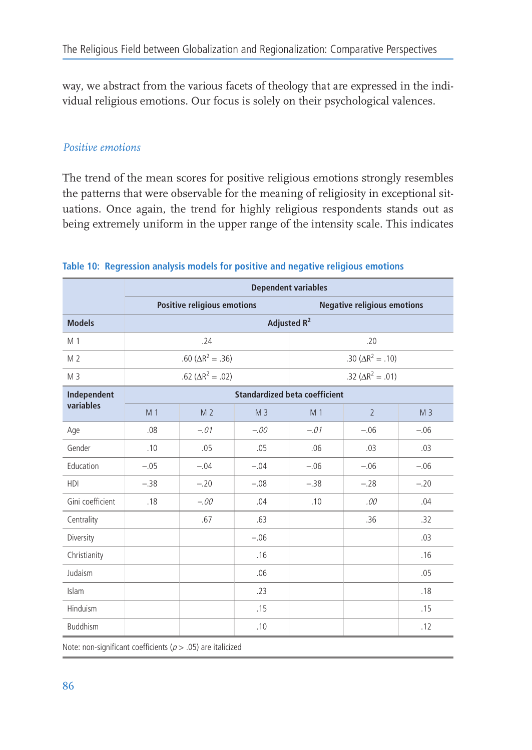way, we abstract from the various facets of theology that are expressed in the individual religious emotions. Our focus is solely on their psychological valences.

## Positive emotions

The trend of the mean scores for positive religious emotions strongly resembles the patterns that were observable for the meaning of religiosity in exceptional situations. Once again, the trend for highly religious respondents stands out as being extremely uniform in the upper range of the intensity scale. This indicates

|                  | <b>Dependent variables</b>           |                             |                |                         |                                    |                |  |  |  |  |  |  |
|------------------|--------------------------------------|-----------------------------|----------------|-------------------------|------------------------------------|----------------|--|--|--|--|--|--|
|                  |                                      | Positive religious emotions |                |                         | <b>Negative religious emotions</b> |                |  |  |  |  |  |  |
| <b>Models</b>    |                                      |                             |                | Adjusted R <sup>2</sup> |                                    |                |  |  |  |  |  |  |
| M 1              |                                      | .24                         |                |                         | .20                                |                |  |  |  |  |  |  |
| M <sub>2</sub>   |                                      | .60 ( $\Delta R^2 = .36$ )  |                |                         | .30 ( $\Delta R^2 = .10$ )         |                |  |  |  |  |  |  |
| M <sub>3</sub>   |                                      | .62 ( $\Delta R^2 = .02$ )  |                |                         | .32 ( $\Delta R^2 = .01$ )         |                |  |  |  |  |  |  |
| Independent      | <b>Standardized beta coefficient</b> |                             |                |                         |                                    |                |  |  |  |  |  |  |
| variables        | M <sub>1</sub>                       | M <sub>2</sub>              | M <sub>3</sub> | M <sub>1</sub>          | $\overline{2}$                     | M <sub>3</sub> |  |  |  |  |  |  |
| Age              | .08                                  | $-.01$                      | $-.00$         | $-.01$                  | $-.06$                             | $-.06$         |  |  |  |  |  |  |
| Gender           | .10                                  | .05                         | .05            | .06                     | .03                                | .03            |  |  |  |  |  |  |
| Education        | $-.05$                               | $-.04$                      | $-.04$         | $-.06$                  | $-.06$                             | $-.06$         |  |  |  |  |  |  |
| <b>HDI</b>       | $-.38$                               | $-.20$                      | $-.08$         | $-.38$                  | $-.28$                             | $-.20$         |  |  |  |  |  |  |
| Gini coefficient | .18                                  | $-.00$                      | .04            | .10                     | .00                                | .04            |  |  |  |  |  |  |
| Centrality       |                                      | .67                         | .63            |                         | .36                                | .32            |  |  |  |  |  |  |
| Diversity        |                                      |                             | $-.06$         |                         |                                    | .03            |  |  |  |  |  |  |
| Christianity     |                                      |                             | .16            |                         |                                    | .16            |  |  |  |  |  |  |
| Judaism          |                                      |                             | .06            |                         |                                    | .05            |  |  |  |  |  |  |
| Islam            |                                      |                             | .23            |                         |                                    | .18            |  |  |  |  |  |  |
| Hinduism         |                                      |                             | .15            |                         |                                    | .15            |  |  |  |  |  |  |
| <b>Buddhism</b>  |                                      |                             | .10            |                         |                                    | .12            |  |  |  |  |  |  |

#### Table 10: Regression analysis models for positive and negative religious emotions

Note: non-significant coefficients ( $p > .05$ ) are italicized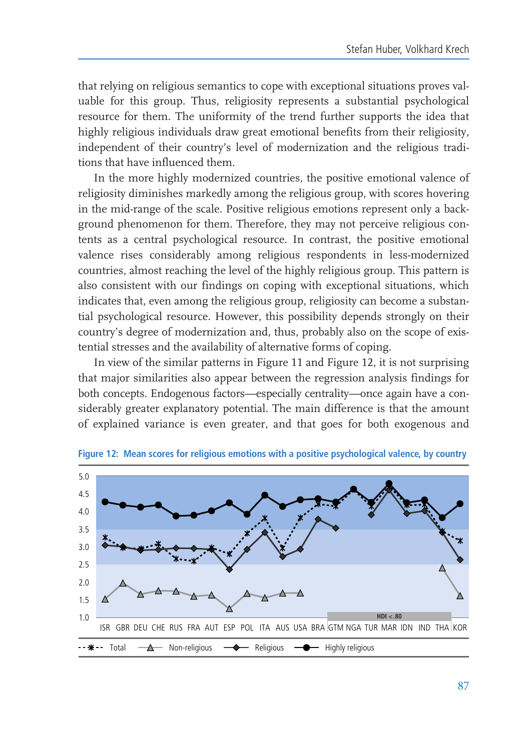that relying on religious semantics to cope with exceptional situations proves valuable for this group. Thus, religiosity represents a substantial psychological resource for them. The uniformity of the trend further supports the idea that highly religious individuals draw great emotional benefits from their religiosity, independent of their country's level of modernization and the religious traditions that have influenced them.

In the more highly modernized countries, the positive emotional valence of religiosity diminishes markedly among the religious group, with scores hovering in the mid-range of the scale. Positive religious emotions represent only a background phenomenon for them. Therefore, they may not perceive religious contents as a central psychological resource. In contrast, the positive emotional valence rises considerably among religious respondents in less-modernized countries, almost reaching the level of the highly religious group. This pattern is also consistent with our findings on coping with exceptional situations, which indicates that, even among the religious group, religiosity can become a substantial psychological resource. However, this possibility depends strongly on their country's degree of modernization and, thus, probably also on the scope of existential stresses and the availability of alternative forms of coping.

In view of the similar patterns in Figure 11 and Figure 12, it is not surprising that major similarities also appear between the regression analysis findings for both concepts. Endogenous factors-especially centrality-once again have a considerably greater explanatory potential. The main difference is that the amount of explained variance is even greater, and that goes for both exogenous and

![](_page_34_Figure_4.jpeg)

Figure 12: Mean scores for religious emotions with a positive psychological valence, by country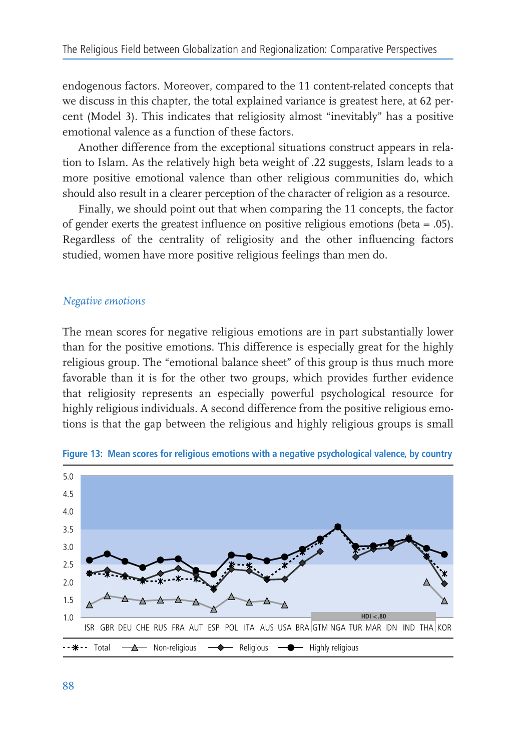endogenous factors. Moreover, compared to the 11 content-related concepts that we discuss in this chapter, the total explained variance is greatest here, at 62 percent (Model 3). This indicates that religiosity almost "inevitably" has a positive emotional valence as a function of these factors.

Another difference from the exceptional situations construct appears in relation to Islam. As the relatively high beta weight of .22 suggests, Islam leads to a more positive emotional valence than other religious communities do, which should also result in a clearer perception of the character of religion as a resource.

Finally, we should point out that when comparing the 11 concepts, the factor of gender exerts the greatest influence on positive religious emotions (beta =  $.05$ ). Regardless of the centrality of religiosity and the other influencing factors studied, women have more positive religious feelings than men do.

#### Negative emotions

The mean scores for negative religious emotions are in part substantially lower than for the positive emotions. This difference is especially great for the highly religious group. The "emotional balance sheet" of this group is thus much more favorable than it is for the other two groups, which provides further evidence that religiosity represents an especially powerful psychological resource for highly religious individuals. A second difference from the positive religious emotions is that the gap between the religious and highly religious groups is small

![](_page_35_Figure_6.jpeg)

Figure 13: Mean scores for religious emotions with a negative psychological valence, by country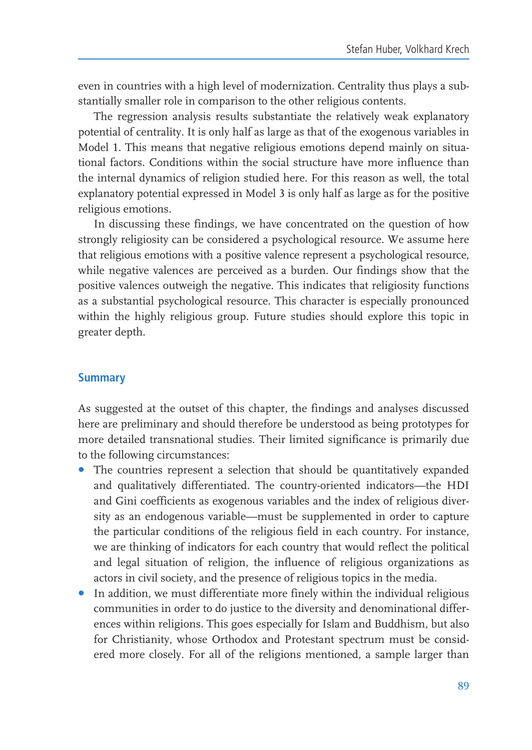even in countries with a high level of modernization. Centrality thus plays a substantially smaller role in comparison to the other religious contents.

The regression analysis results substantiate the relatively weak explanatory potential of centrality. It is only half as large as that of the exogenous variables in Model 1. This means that negative religious emotions depend mainly on situational factors. Conditions within the social structure have more influence than the internal dynamics of religion studied here. For this reason as well, the total explanatory potential expressed in Model 3 is only half as large as for the positive religious emotions.

In discussing these findings, we have concentrated on the question of how strongly religiosity can be considered a psychological resource. We assume here that religious emotions with a positive valence represent a psychological resource, while negative valences are perceived as a burden. Our findings show that the positive valences outweigh the negative. This indicates that religiosity functions as a substantial psychological resource. This character is especially pronounced within the highly religious group. Future studies should explore this topic in greater depth.

## **Summary**

As suggested at the outset of this chapter, the findings and analyses discussed here are preliminary and should therefore be understood as being prototypes for more detailed transnational studies. Their limited significance is primarily due to the following circumstances:

- The countries represent a selection that should be quantitatively expanded and qualitatively differentiated. The country-oriented indicators-the HDI and Gini coefficients as exogenous variables and the index of religious diversity as an endogenous variable—must be supplemented in order to capture the particular conditions of the religious field in each country. For instance, we are thinking of indicators for each country that would reflect the political and legal situation of religion, the influence of religious organizations as actors in civil society, and the presence of religious topics in the media.
- In addition, we must differentiate more finely within the individual religious communities in order to do justice to the diversity and denominational differences within religions. This goes especially for Islam and Buddhism, but also for Christianity, whose Orthodox and Protestant spectrum must be considered more closely. For all of the religions mentioned, a sample larger than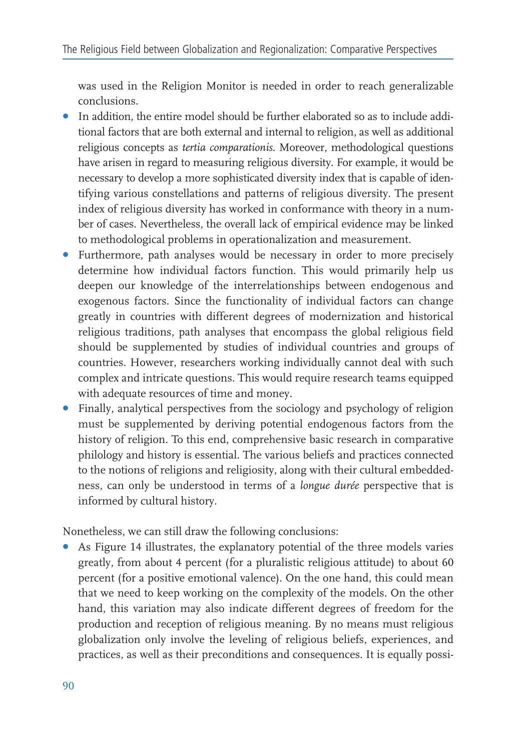was used in the Religion Monitor is needed in order to reach generalizable conclusions.

- In addition, the entire model should be further elaborated so as to include additional factors that are both external and internal to religion, as well as additional religious concepts as tertia comparationis. Moreover, methodological questions have arisen in regard to measuring religious diversity. For example, it would be necessary to develop a more sophisticated diversity index that is capable of identifying various constellations and patterns of religious diversity. The present index of religious diversity has worked in conformance with theory in a number of cases. Nevertheless, the overall lack of empirical evidence may be linked to methodological problems in operationalization and measurement.
- Furthermore, path analyses would be necessary in order to more precisely determine how individual factors function. This would primarily help us deepen our knowledge of the interrelationships between endogenous and exogenous factors. Since the functionality of individual factors can change greatly in countries with different degrees of modernization and historical religious traditions, path analyses that encompass the global religious field should be supplemented by studies of individual countries and groups of countries. However, researchers working individually cannot deal with such complex and intricate questions. This would require research teams equipped with adequate resources of time and money.
- Finally, analytical perspectives from the sociology and psychology of religion must be supplemented by deriving potential endogenous factors from the history of religion. To this end, comprehensive basic research in comparative philology and history is essential. The various beliefs and practices connected to the notions of religions and religiosity, along with their cultural embeddedness, can only be understood in terms of a longue durée perspective that is informed by cultural history.

Nonetheless, we can still draw the following conclusions:

• As Figure 14 illustrates, the explanatory potential of the three models varies greatly, from about 4 percent (for a pluralistic religious attitude) to about 60 percent (for a positive emotional valence). On the one hand, this could mean that we need to keep working on the complexity of the models. On the other hand, this variation may also indicate different degrees of freedom for the production and reception of religious meaning. By no means must religious globalization only involve the leveling of religious beliefs, experiences, and practices, as well as their preconditions and consequences. It is equally possi-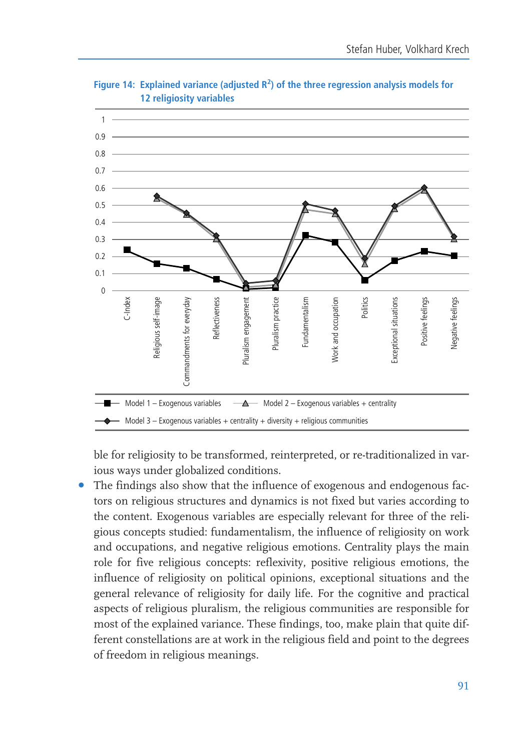![](_page_38_Figure_1.jpeg)

Figure 14: Explained variance (adjusted  $R^2$ ) of the three regression analysis models for 12 religiosity variables

ble for religiosity to be transformed, reinterpreted, or re-traditionalized in various ways under globalized conditions.

The findings also show that the influence of exogenous and endogenous factors on religious structures and dynamics is not fixed but varies according to the content. Exogenous variables are especially relevant for three of the religious concepts studied: fundamentalism, the influence of religiosity on work and occupations, and negative religious emotions. Centrality plays the main role for five religious concepts: reflexivity, positive religious emotions, the influence of religiosity on political opinions, exceptional situations and the general relevance of religiosity for daily life. For the cognitive and practical aspects of religious pluralism, the religious communities are responsible for most of the explained variance. These findings, too, make plain that quite different constellations are at work in the religious field and point to the degrees of freedom in religious meanings.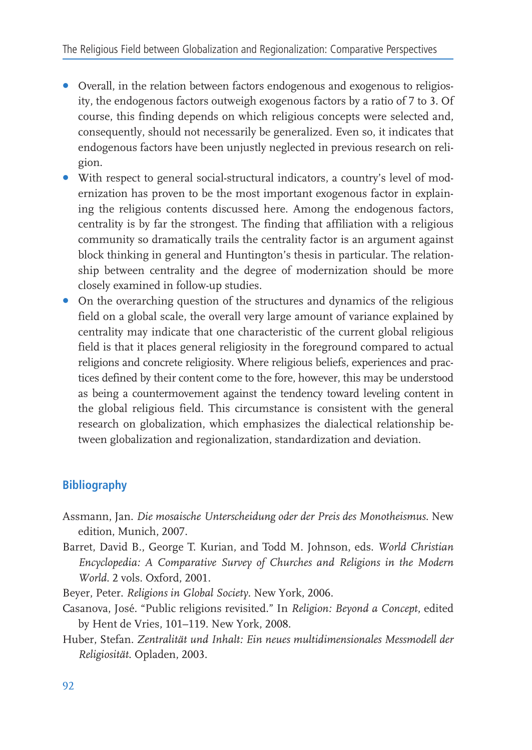- Overall, in the relation between factors endogenous and exogenous to religiosity, the endogenous factors outweigh exogenous factors by a ratio of 7 to 3. Of course, this finding depends on which religious concepts were selected and, consequently, should not necessarily be generalized. Even so, it indicates that endogenous factors have been unjustly neglected in previous research on religion.
- With respect to general social-structural indicators, a country's level of modernization has proven to be the most important exogenous factor in explaining the religious contents discussed here. Among the endogenous factors, centrality is by far the strongest. The finding that affiliation with a religious community so dramatically trails the centrality factor is an argument against block thinking in general and Huntington's thesis in particular. The relationship between centrality and the degree of modernization should be more closely examined in follow-up studies.
- On the overarching question of the structures and dynamics of the religious field on a global scale, the overall very large amount of variance explained by centrality may indicate that one characteristic of the current global religious field is that it places general religiosity in the foreground compared to actual religions and concrete religiosity. Where religious beliefs, experiences and practices defined by their content come to the fore, however, this may be understood as being a countermovement against the tendency toward leveling content in the global religious field. This circumstance is consistent with the general research on globalization, which emphasizes the dialectical relationship between globalization and regionalization, standardization and deviation.

# **Bibliography**

- Assmann, Jan. Die mosaische Unterscheidung oder der Preis des Monotheismus. New edition, Munich, 2007.
- Barret, David B., George T. Kurian, and Todd M. Johnson, eds. World Christian Encyclopedia: A Comparative Survey of Churches and Religions in the Modern World. 2 vols. Oxford. 2001.
- Beyer, Peter. Religions in Global Society. New York, 2006.
- Casanova, José. "Public religions revisited." In Religion: Beyond a Concept, edited by Hent de Vries, 101-119. New York, 2008.
- Huber, Stefan. Zentralität und Inhalt: Ein neues multidimensionales Messmodell der Religiosität. Opladen, 2003.